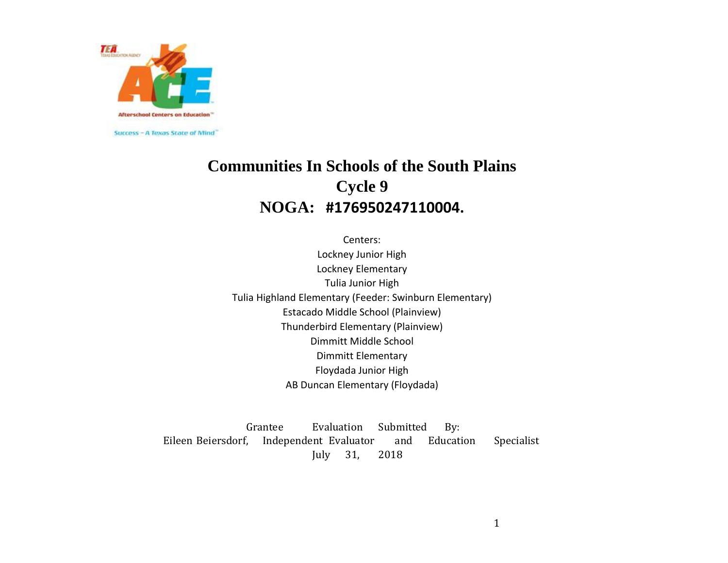

# **Communities In Schools of the South Plains Cycle 9 NOGA: #176950247110004.**

Centers: Lockney Junior High Lockney Elementary Tulia Junior High Tulia Highland Elementary (Feeder: Swinburn Elementary) Estacado Middle School (Plainview) Thunderbird Elementary (Plainview) Dimmitt Middle School Dimmitt Elementary Floydada Junior High AB Duncan Elementary (Floydada)

Grantee Evaluation Submitted By: Eileen Beiersdorf, Independent Evaluator and Education Specialist July 31, 2018

1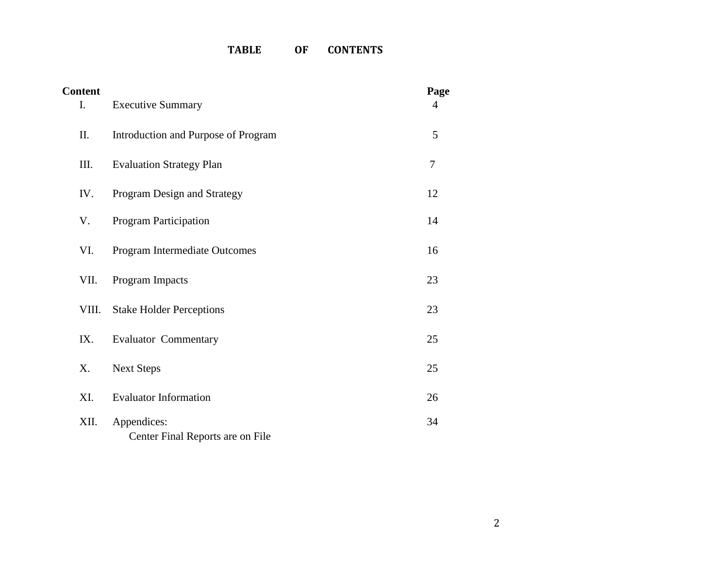## **TABLE OF CONTENTS**

| <b>Content</b><br>I. | <b>Executive Summary</b>                        | Page<br>$\overline{4}$ |
|----------------------|-------------------------------------------------|------------------------|
| II.                  | Introduction and Purpose of Program             | 5                      |
| III.                 | <b>Evaluation Strategy Plan</b>                 | $\overline{7}$         |
| IV.                  | Program Design and Strategy                     | 12                     |
| V.                   | <b>Program Participation</b>                    | 14                     |
| VI.                  | Program Intermediate Outcomes                   | 16                     |
| VII.                 | Program Impacts                                 | 23                     |
| VIII.                | <b>Stake Holder Perceptions</b>                 | 23                     |
| IX.                  | <b>Evaluator Commentary</b>                     | 25                     |
| Х.                   | <b>Next Steps</b>                               | 25                     |
| XI.                  | <b>Evaluator Information</b>                    | 26                     |
| XII.                 | Appendices:<br>Center Final Reports are on File | 34                     |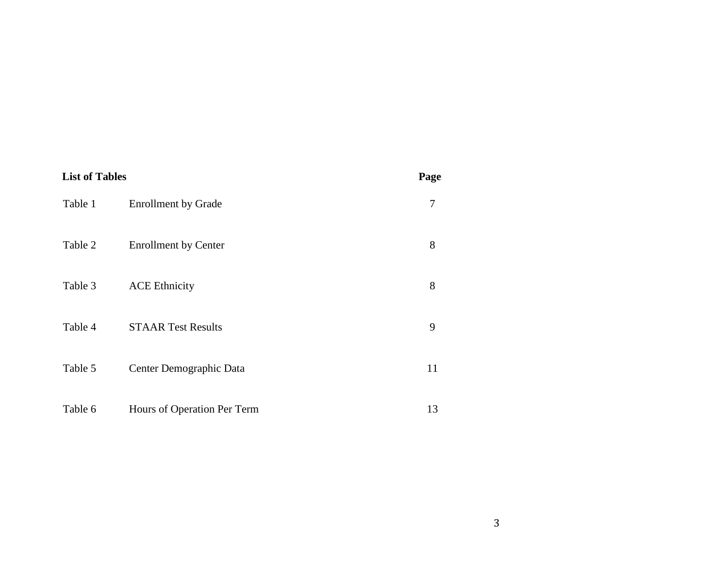| <b>List of Tables</b> |                             | Page |
|-----------------------|-----------------------------|------|
| Table 1               | <b>Enrollment by Grade</b>  | 7    |
| Table 2               | <b>Enrollment by Center</b> | 8    |
| Table 3               | <b>ACE Ethnicity</b>        | 8    |
| Table 4               | <b>STAAR Test Results</b>   | 9    |
| Table 5               | Center Demographic Data     | 11   |
| Table 6               | Hours of Operation Per Term | 13   |

3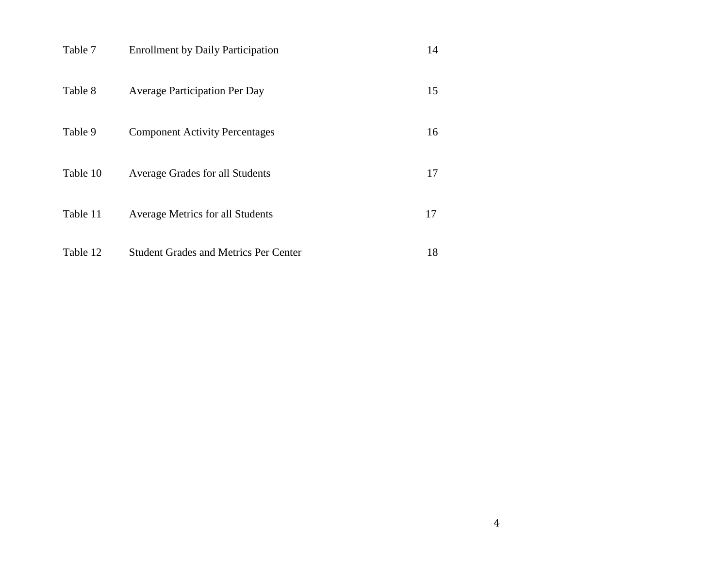| Table 7  | <b>Enrollment by Daily Participation</b>     | 14 |
|----------|----------------------------------------------|----|
| Table 8  | <b>Average Participation Per Day</b>         | 15 |
| Table 9  | <b>Component Activity Percentages</b>        | 16 |
| Table 10 | Average Grades for all Students              | 17 |
| Table 11 | <b>Average Metrics for all Students</b>      | 17 |
| Table 12 | <b>Student Grades and Metrics Per Center</b> | 18 |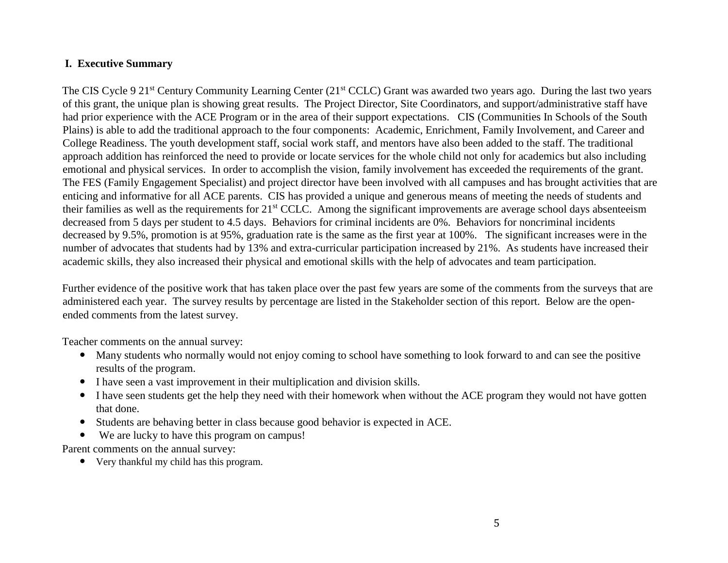### **I. Executive Summary**

The CIS Cycle 9 21<sup>st</sup> Century Community Learning Center (21<sup>st</sup> CCLC) Grant was awarded two years ago. During the last two years of this grant, the unique plan is showing great results. The Project Director, Site Coordinators, and support/administrative staff have had prior experience with the ACE Program or in the area of their support expectations. CIS (Communities In Schools of the South Plains) is able to add the traditional approach to the four components: Academic, Enrichment, Family Involvement, and Career and College Readiness. The youth development staff, social work staff, and mentors have also been added to the staff. The traditional approach addition has reinforced the need to provide or locate services for the whole child not only for academics but also including emotional and physical services. In order to accomplish the vision, family involvement has exceeded the requirements of the grant. The FES (Family Engagement Specialist) and project director have been involved with all campuses and has brought activities that are enticing and informative for all ACE parents. CIS has provided a unique and generous means of meeting the needs of students and their families as well as the requirements for 21st CCLC. Among the significant improvements are average school days absenteeism decreased from 5 days per student to 4.5 days. Behaviors for criminal incidents are 0%. Behaviors for noncriminal incidents decreased by 9.5%, promotion is at 95%, graduation rate is the same as the first year at 100%. The significant increases were in the number of advocates that students had by 13% and extra-curricular participation increased by 21%. As students have increased their academic skills, they also increased their physical and emotional skills with the help of advocates and team participation.

Further evidence of the positive work that has taken place over the past few years are some of the comments from the surveys that are administered each year. The survey results by percentage are listed in the Stakeholder section of this report. Below are the openended comments from the latest survey.

Teacher comments on the annual survey:

- Many students who normally would not enjoy coming to school have something to look forward to and can see the positive results of the program.
- I have seen a vast improvement in their multiplication and division skills.
- I have seen students get the help they need with their homework when without the ACE program they would not have gotten that done.
- Students are behaving better in class because good behavior is expected in ACE.
- We are lucky to have this program on campus!

Parent comments on the annual survey:

Very thankful my child has this program.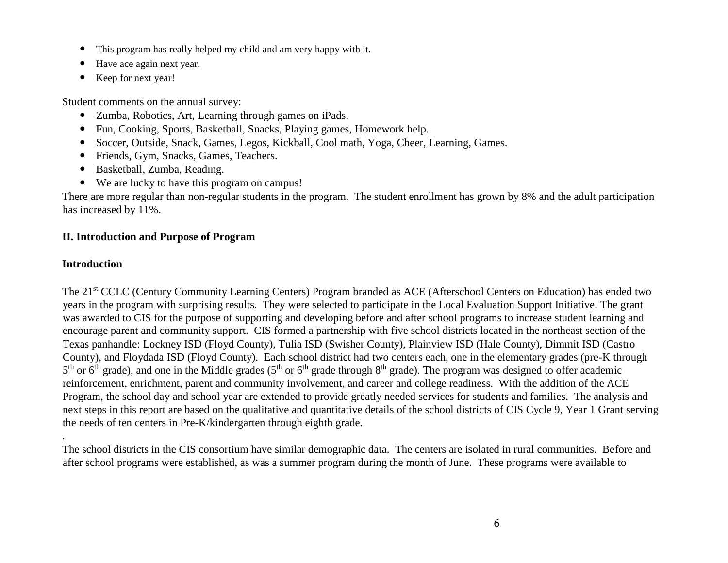- This program has really helped my child and am very happy with it.
- Have ace again next year.
- Keep for next year!

Student comments on the annual survey:

- Zumba, Robotics, Art, Learning through games on iPads.
- Fun, Cooking, Sports, Basketball, Snacks, Playing games, Homework help.
- Soccer, Outside, Snack, Games, Legos, Kickball, Cool math, Yoga, Cheer, Learning, Games.
- Friends, Gym, Snacks, Games, Teachers.
- Basketball, Zumba, Reading.
- We are lucky to have this program on campus!

There are more regular than non-regular students in the program. The student enrollment has grown by 8% and the adult participation has increased by 11%.

### **II. Introduction and Purpose of Program**

### **Introduction**

.

The 21st CCLC (Century Community Learning Centers) Program branded as ACE (Afterschool Centers on Education) has ended two years in the program with surprising results. They were selected to participate in the Local Evaluation Support Initiative. The grant was awarded to CIS for the purpose of supporting and developing before and after school programs to increase student learning and encourage parent and community support. CIS formed a partnership with five school districts located in the northeast section of the Texas panhandle: Lockney ISD (Floyd County), Tulia ISD (Swisher County), Plainview ISD (Hale County), Dimmit ISD (Castro County), and Floydada ISD (Floyd County). Each school district had two centers each, one in the elementary grades (pre-K through  $5<sup>th</sup>$  or 6<sup>th</sup> grade), and one in the Middle grades ( $5<sup>th</sup>$  or 6<sup>th</sup> grade through  $8<sup>th</sup>$  grade). The program was designed to offer academic reinforcement, enrichment, parent and community involvement, and career and college readiness. With the addition of the ACE Program, the school day and school year are extended to provide greatly needed services for students and families. The analysis and next steps in this report are based on the qualitative and quantitative details of the school districts of CIS Cycle 9, Year 1 Grant serving the needs of ten centers in Pre-K/kindergarten through eighth grade.

The school districts in the CIS consortium have similar demographic data. The centers are isolated in rural communities. Before and after school programs were established, as was a summer program during the month of June. These programs were available to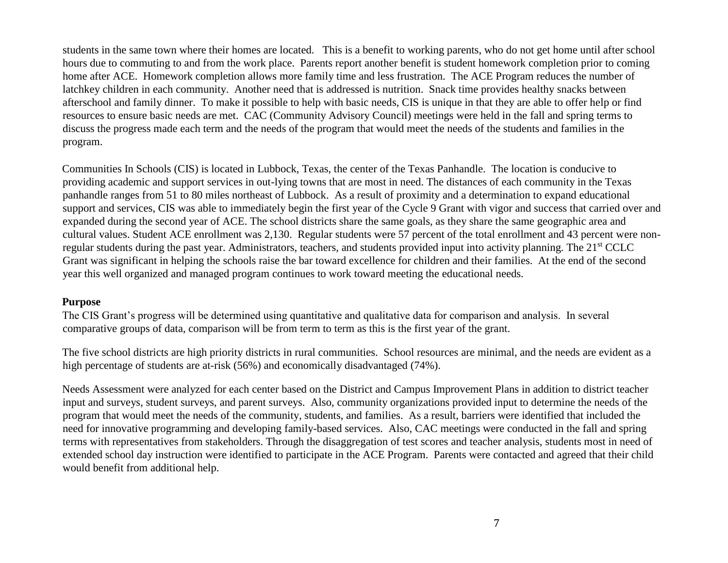students in the same town where their homes are located. This is a benefit to working parents, who do not get home until after school hours due to commuting to and from the work place. Parents report another benefit is student homework completion prior to coming home after ACE. Homework completion allows more family time and less frustration. The ACE Program reduces the number of latchkey children in each community. Another need that is addressed is nutrition. Snack time provides healthy snacks between afterschool and family dinner. To make it possible to help with basic needs, CIS is unique in that they are able to offer help or find resources to ensure basic needs are met. CAC (Community Advisory Council) meetings were held in the fall and spring terms to discuss the progress made each term and the needs of the program that would meet the needs of the students and families in the program.

Communities In Schools (CIS) is located in Lubbock, Texas, the center of the Texas Panhandle. The location is conducive to providing academic and support services in out-lying towns that are most in need. The distances of each community in the Texas panhandle ranges from 51 to 80 miles northeast of Lubbock. As a result of proximity and a determination to expand educational support and services, CIS was able to immediately begin the first year of the Cycle 9 Grant with vigor and success that carried over and expanded during the second year of ACE. The school districts share the same goals, as they share the same geographic area and cultural values. Student ACE enrollment was 2,130. Regular students were 57 percent of the total enrollment and 43 percent were nonregular students during the past year. Administrators, teachers, and students provided input into activity planning. The 21st CCLC Grant was significant in helping the schools raise the bar toward excellence for children and their families. At the end of the second year this well organized and managed program continues to work toward meeting the educational needs.

### **Purpose**

The CIS Grant's progress will be determined using quantitative and qualitative data for comparison and analysis. In several comparative groups of data, comparison will be from term to term as this is the first year of the grant.

The five school districts are high priority districts in rural communities. School resources are minimal, and the needs are evident as a high percentage of students are at-risk (56%) and economically disadvantaged (74%).

Needs Assessment were analyzed for each center based on the District and Campus Improvement Plans in addition to district teacher input and surveys, student surveys, and parent surveys. Also, community organizations provided input to determine the needs of the program that would meet the needs of the community, students, and families. As a result, barriers were identified that included the need for innovative programming and developing family-based services. Also, CAC meetings were conducted in the fall and spring terms with representatives from stakeholders. Through the disaggregation of test scores and teacher analysis, students most in need of extended school day instruction were identified to participate in the ACE Program. Parents were contacted and agreed that their child would benefit from additional help.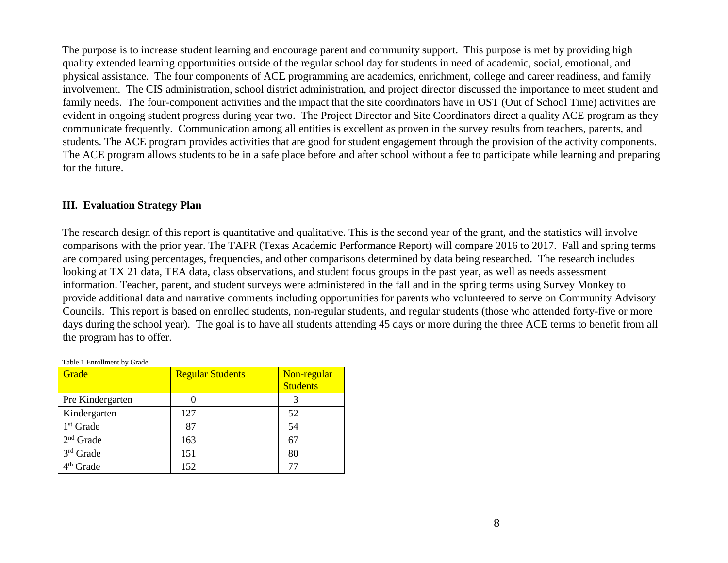The purpose is to increase student learning and encourage parent and community support. This purpose is met by providing high quality extended learning opportunities outside of the regular school day for students in need of academic, social, emotional, and physical assistance. The four components of ACE programming are academics, enrichment, college and career readiness, and family involvement. The CIS administration, school district administration, and project director discussed the importance to meet student and family needs. The four-component activities and the impact that the site coordinators have in OST (Out of School Time) activities are evident in ongoing student progress during year two. The Project Director and Site Coordinators direct a quality ACE program as they communicate frequently. Communication among all entities is excellent as proven in the survey results from teachers, parents, and students. The ACE program provides activities that are good for student engagement through the provision of the activity components. The ACE program allows students to be in a safe place before and after school without a fee to participate while learning and preparing for the future.

### **III. Evaluation Strategy Plan**

The research design of this report is quantitative and qualitative. This is the second year of the grant, and the statistics will involve comparisons with the prior year. The TAPR (Texas Academic Performance Report) will compare 2016 to 2017. Fall and spring terms are compared using percentages, frequencies, and other comparisons determined by data being researched. The research includes looking at TX 21 data, TEA data, class observations, and student focus groups in the past year, as well as needs assessment information. Teacher, parent, and student surveys were administered in the fall and in the spring terms using Survey Monkey to provide additional data and narrative comments including opportunities for parents who volunteered to serve on Community Advisory Councils. This report is based on enrolled students, non-regular students, and regular students (those who attended forty-five or more days during the school year). The goal is to have all students attending 45 days or more during the three ACE terms to benefit from all the program has to offer.

| Table 1 Enrollment by Grade |                         |                 |  |  |  |  |
|-----------------------------|-------------------------|-----------------|--|--|--|--|
| Grade                       | <b>Regular Students</b> | Non-regular     |  |  |  |  |
|                             |                         | <b>Students</b> |  |  |  |  |
| Pre Kindergarten            |                         |                 |  |  |  |  |
| Kindergarten                | 127                     | 52              |  |  |  |  |
| 1 <sup>st</sup> Grade       | 87                      | 54              |  |  |  |  |
| $2nd$ Grade                 | 163                     | 67              |  |  |  |  |
| 3rd Grade                   | 151                     | 80              |  |  |  |  |
| 4 <sup>th</sup> Grade       | 152                     |                 |  |  |  |  |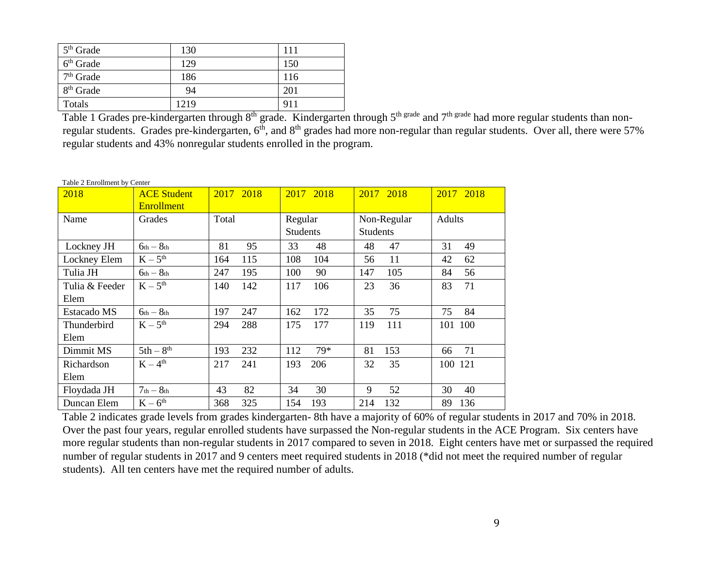| $5th$ Grade           | 130  | 111 |
|-----------------------|------|-----|
| $6th$ Grade           | 129  | 150 |
| 7 <sup>th</sup> Grade | 186  | 116 |
| 8 <sup>th</sup> Grade | 94   | 201 |
| Totals                | 1219 | 911 |

Table 1 Grades pre-kindergarten through 8<sup>th</sup> grade. Kindergarten through 5<sup>th grade</sup> and 7<sup>th grade</sup> had more regular students than nonregular students. Grades pre-kindergarten, 6<sup>th</sup>, and 8<sup>th</sup> grades had more non-regular than regular students. Over all, there were 57% regular students and 43% nonregular students enrolled in the program.

Table 2 Enrollment by Center

| 2018           | <b>ACE Student</b><br><b>Enrollment</b> | 2017 2018  | 2017 2018       | 2017 2018       | 2017 2018 |
|----------------|-----------------------------------------|------------|-----------------|-----------------|-----------|
| Name           | Grades                                  | Total      | Regular         | Non-Regular     | Adults    |
|                |                                         |            | <b>Students</b> | <b>Students</b> |           |
| Lockney JH     | $6th - 8th$                             | 81<br>95   | 33<br>48        | 47<br>48        | 31<br>49  |
| Lockney Elem   | $K-5^{th}$                              | 115<br>164 | 104<br>108      | 11<br>56        | 42<br>62  |
| Tulia JH       | $6th - 8th$                             | 195<br>247 | 100<br>90       | 147<br>105      | 84<br>56  |
| Tulia & Feeder | $K-5^{th}$                              | 142<br>140 | 117<br>106      | 23<br>36        | 83<br>71  |
| Elem           |                                         |            |                 |                 |           |
| Estacado MS    | $6th - 8th$                             | 197<br>247 | 162<br>172      | 75<br>35        | 75<br>84  |
| Thunderbird    | $K-5^{th}$                              | 288<br>294 | 175<br>177      | 111<br>119      | 101 100   |
| Elem           |                                         |            |                 |                 |           |
| Dimmit MS      | $5th-8^{th}$                            | 232<br>193 | 79*<br>112      | 153<br>81       | 71<br>66  |
| Richardson     | $K-4^{th}$                              | 217<br>241 | 193<br>206      | 35<br>32        | 100 121   |
| Elem           |                                         |            |                 |                 |           |
| Floydada JH    | $7th - 8th$                             | 43<br>82   | 30<br>34        | 52<br>9         | 40<br>30  |
| Duncan Elem    | $K-6^{th}$                              | 325<br>368 | 154<br>193      | 214<br>132      | 89<br>136 |

Table 2 indicates grade levels from grades kindergarten- 8th have a majority of 60% of regular students in 2017 and 70% in 2018. Over the past four years, regular enrolled students have surpassed the Non-regular students in the ACE Program. Six centers have more regular students than non-regular students in 2017 compared to seven in 2018. Eight centers have met or surpassed the required number of regular students in 2017 and 9 centers meet required students in 2018 (\*did not meet the required number of regular students). All ten centers have met the required number of adults.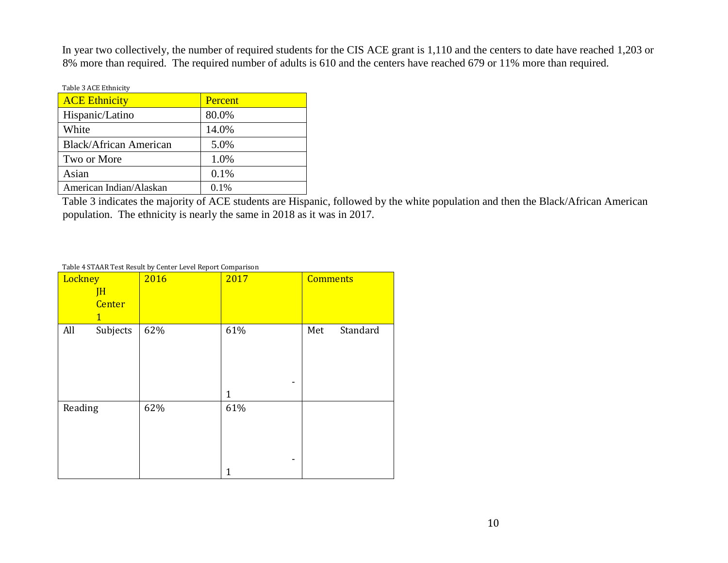In year two collectively, the number of required students for the CIS ACE grant is 1,110 and the centers to date have reached 1,203 or 8% more than required. The required number of adults is 610 and the centers have reached 679 or 11% more than required.

| Table 3 ACE Ethnicity         |         |
|-------------------------------|---------|
| <b>ACE</b> Ethnicity          | Percent |
| Hispanic/Latino               | 80.0%   |
| White                         | 14.0%   |
| <b>Black/African American</b> | 5.0%    |
| Two or More                   | 1.0%    |
| Asian                         | 0.1%    |
| American Indian/Alaskan       | $0.1\%$ |

Table 3 indicates the majority of ACE students are Hispanic, followed by the white population and then the Black/African American population. The ethnicity is nearly the same in 2018 as it was in 2017.

#### Table 4 STAAR Test Result by Center Level Report Comparison

| Lockney<br>JH<br><b>Center</b><br>$\mathbf{1}$ | 2016 | 2017                     | <b>Comments</b> |
|------------------------------------------------|------|--------------------------|-----------------|
| All<br>Subjects                                | 62%  | 61%<br>-<br>$\mathbf{1}$ | Standard<br>Met |
| Reading                                        | 62%  | 61%<br>-<br>1            |                 |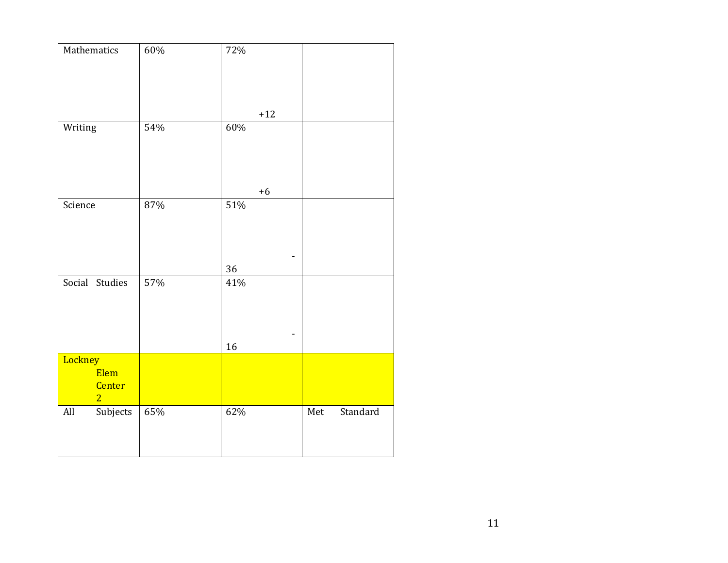| Mathematics                                 | $60\%$ | 72%      |                 |
|---------------------------------------------|--------|----------|-----------------|
|                                             |        | $+12$    |                 |
| Writing                                     | 54%    | 60%      |                 |
|                                             |        | $+6$     |                 |
| Science                                     | 87%    | 51%      |                 |
|                                             |        | 36       |                 |
| Social Studies                              | 57%    | 41%<br>۰ |                 |
|                                             |        | 16       |                 |
| Lockney<br>Elem<br>Center<br>$\overline{2}$ |        |          |                 |
| $\rm All$<br>Subjects                       | 65%    | 62%      | Standard<br>Met |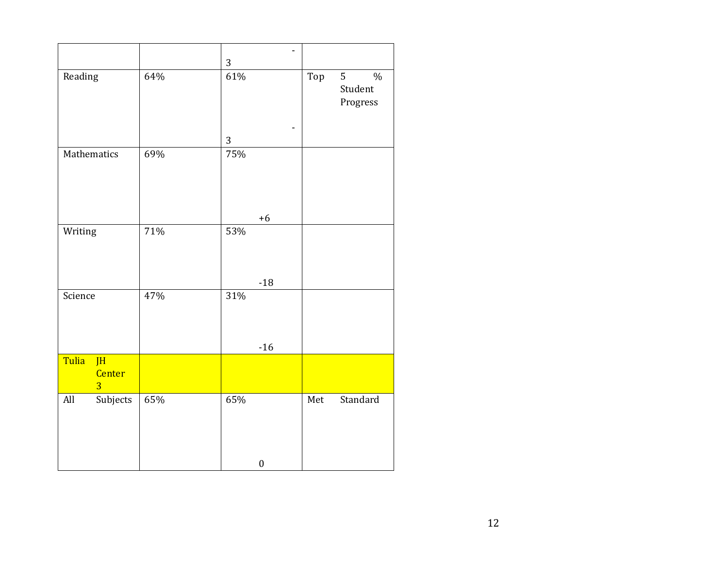|         |                                |     | $\overline{3}$ | $\overline{\phantom{0}}$ |     |                                           |
|---------|--------------------------------|-----|----------------|--------------------------|-----|-------------------------------------------|
| Reading |                                | 64% | 61%            |                          | Top | 5<br>$\frac{0}{0}$<br>Student<br>Progress |
|         |                                |     | 3              |                          |     |                                           |
|         | Mathematics                    | 69% | 75%            |                          |     |                                           |
|         |                                |     |                | $+6$                     |     |                                           |
| Writing |                                | 71% | 53%            |                          |     |                                           |
| Science |                                | 47% | 31%            | $-18$                    |     |                                           |
|         |                                |     |                |                          |     |                                           |
|         |                                |     |                | $-16$                    |     |                                           |
| Tulia   | JH<br>Center<br>$\overline{3}$ |     |                |                          |     |                                           |
| All     | Subjects                       | 65% | 65%            |                          | Met | Standard                                  |
|         |                                |     |                | $\boldsymbol{0}$         |     |                                           |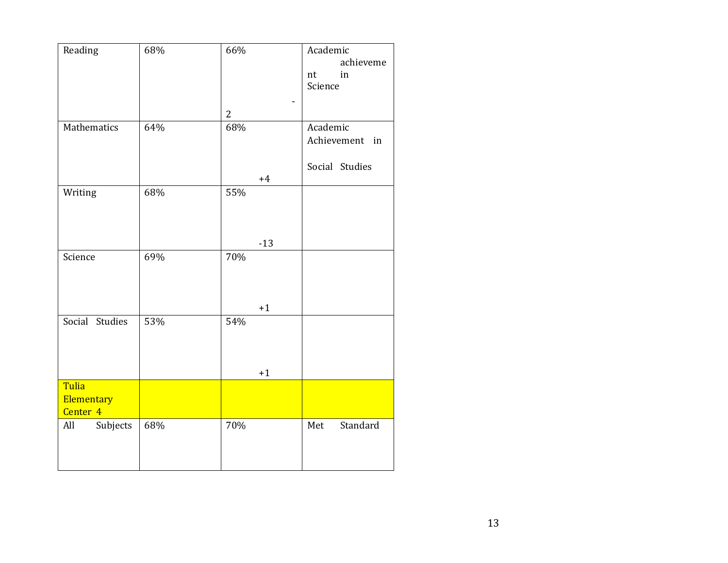| Reading         | 68% | 66%   | Academic        |
|-----------------|-----|-------|-----------------|
|                 |     |       | achieveme       |
|                 |     |       | in<br>nt        |
|                 |     |       | Science         |
|                 |     |       |                 |
|                 |     | 2     |                 |
| Mathematics     | 64% | 68%   | Academic        |
|                 |     |       | Achievement in  |
|                 |     |       |                 |
|                 |     |       | Social Studies  |
|                 |     | $+4$  |                 |
| Writing         | 68% | 55%   |                 |
|                 |     |       |                 |
|                 |     |       |                 |
|                 |     |       |                 |
|                 |     | $-13$ |                 |
| Science         | 69% | 70%   |                 |
|                 |     |       |                 |
|                 |     |       |                 |
|                 |     |       |                 |
|                 |     | $+1$  |                 |
| Social Studies  | 53% | 54%   |                 |
|                 |     |       |                 |
|                 |     |       |                 |
|                 |     |       |                 |
|                 |     | $+1$  |                 |
| Tulia           |     |       |                 |
| Elementary      |     |       |                 |
| Center 4        |     |       |                 |
| Subjects<br>All | 68% | 70%   | Standard<br>Met |
|                 |     |       |                 |
|                 |     |       |                 |
|                 |     |       |                 |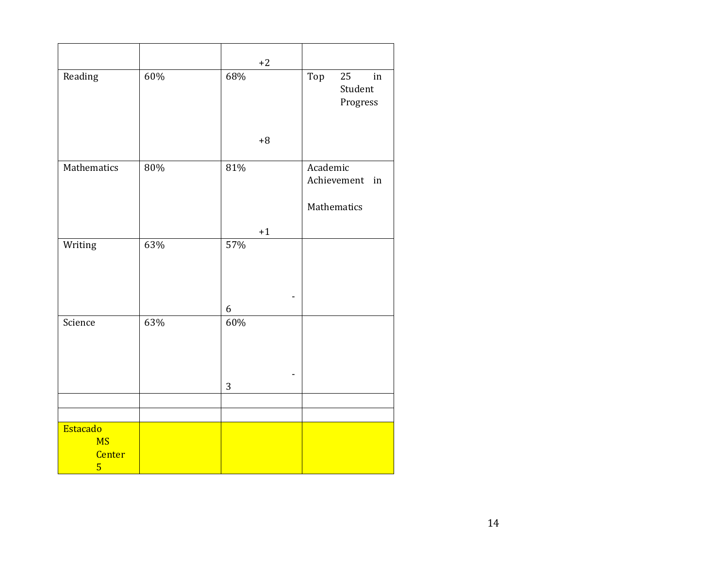|                                                          |     | $+2$ |                                        |
|----------------------------------------------------------|-----|------|----------------------------------------|
| Reading                                                  | 60% | 68%  | Top<br>25<br>in<br>Student<br>Progress |
|                                                          |     | $+8$ |                                        |
| Mathematics                                              | 80% | 81%  | Academic<br>Achievement in             |
|                                                          |     |      | Mathematics                            |
|                                                          |     | $+1$ |                                        |
| Writing                                                  | 63% | 57%  |                                        |
|                                                          |     | 6    |                                        |
| Science                                                  | 63% | 60%  |                                        |
|                                                          |     | 3    |                                        |
|                                                          |     |      |                                        |
|                                                          |     |      |                                        |
| Estacado<br><b>MS</b><br><b>Center</b><br>$\overline{5}$ |     |      |                                        |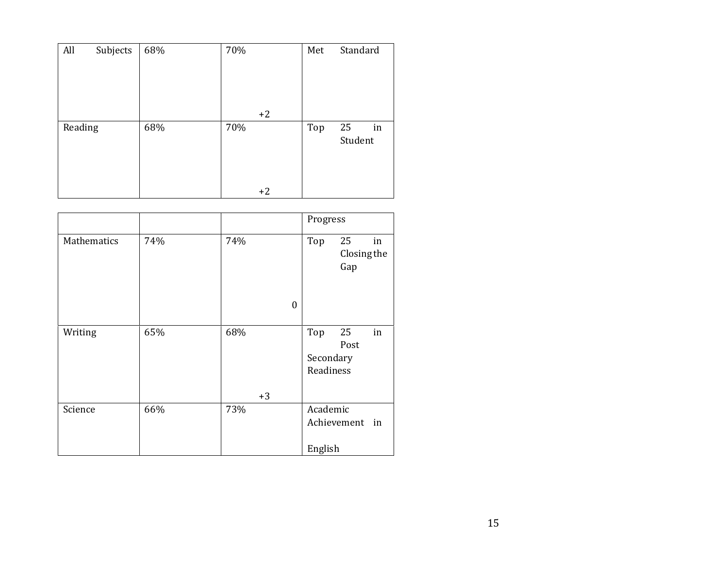| All     | Subjects | 68% | 70%  | Met | Standard      |    |
|---------|----------|-----|------|-----|---------------|----|
|         |          |     |      |     |               |    |
|         |          |     | $+2$ |     |               |    |
| Reading |          | 68% | 70%  | Top | 25<br>Student | in |
|         |          |     | $+2$ |     |               |    |

|             |     |                     | Progress                      |                          |    |
|-------------|-----|---------------------|-------------------------------|--------------------------|----|
| Mathematics | 74% | 74%<br>$\mathbf{0}$ | Top                           | 25<br>Closing the<br>Gap | in |
| Writing     | 65% | 68%<br>$+3$         | Top<br>Secondary<br>Readiness | 25<br>Post               | in |
| Science     | 66% | 73%                 | Academic<br>English           | Achievement              | in |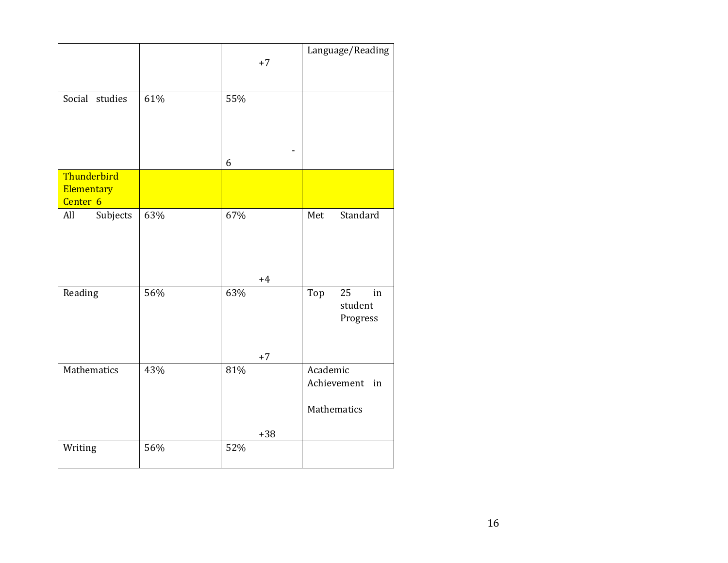|                                                  |     | $+7$         | Language/Reading                             |
|--------------------------------------------------|-----|--------------|----------------------------------------------|
| Social studies                                   | 61% | 55%          |                                              |
|                                                  |     | 6            |                                              |
| Thunderbird<br>Elementary<br>Center <sub>6</sub> |     |              |                                              |
| Subjects<br>All                                  | 63% | 67%<br>$+4$  | Standard<br>Met                              |
| Reading                                          | 56% | 63%<br>$+7$  | Top<br>25<br>in<br>student<br>Progress       |
| Mathematics                                      | 43% | 81%<br>$+38$ | Academic<br>Achievement<br>in<br>Mathematics |
| Writing                                          | 56% | 52%          |                                              |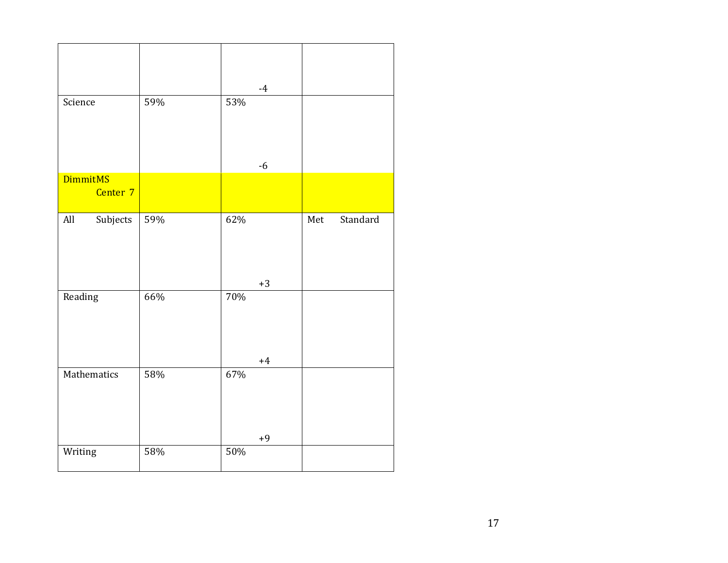|                             |     | $-4$        |                 |
|-----------------------------|-----|-------------|-----------------|
| Science                     | 59% | 53%         |                 |
|                             |     | $-6$        |                 |
| <b>DimmitMS</b><br>Center 7 |     |             |                 |
| Subjects<br>All             | 59% | 62%<br>$+3$ | Standard<br>Met |
| Reading                     | 66% | 70%<br>$+4$ |                 |
| Mathematics                 | 58% | 67%<br>$+9$ |                 |
| Writing                     | 58% | 50%         |                 |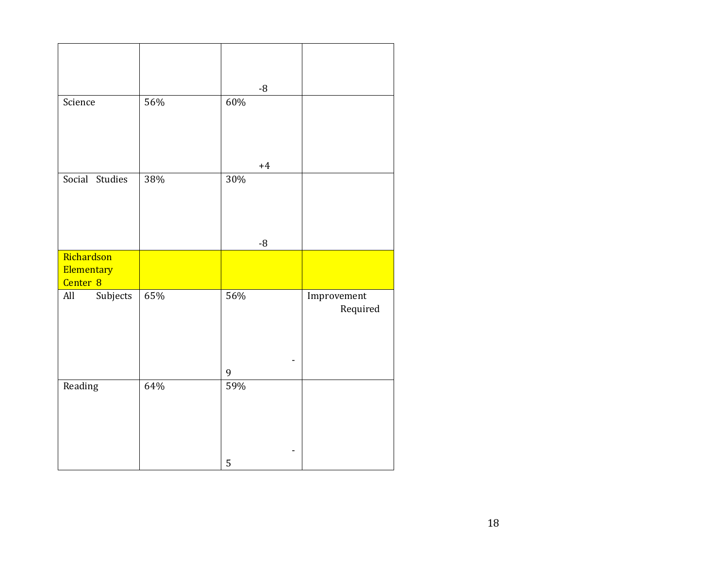|                                                 |     | $-8$        |                         |
|-------------------------------------------------|-----|-------------|-------------------------|
| Science                                         | 56% | 60%         |                         |
| Social Studies                                  | 38% | $+4$<br>30% |                         |
|                                                 |     | $-8$        |                         |
| Richardson<br>Elementary<br>Center <sub>8</sub> |     |             |                         |
| Subjects<br>All                                 | 65% | 56%<br>9    | Improvement<br>Required |
| Reading                                         | 64% | 59%         |                         |
|                                                 |     | 5           |                         |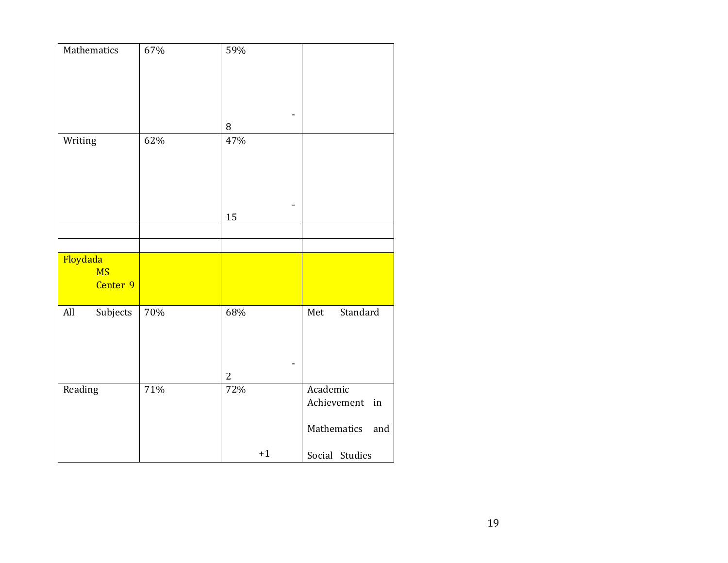| Mathematics                       | 67% | 59%                   |                    |
|-----------------------------------|-----|-----------------------|--------------------|
|                                   |     | $\, 8$                |                    |
| Writing                           | 62% | 47%                   |                    |
|                                   |     | 15                    |                    |
|                                   |     |                       |                    |
|                                   |     |                       |                    |
| Floydada<br><b>MS</b><br>Center 9 |     |                       |                    |
| All<br>Subjects                   | 70% | 68%<br>L,             | Standard<br>Met    |
|                                   | 71% | $\overline{2}$<br>72% | Academic           |
| Reading                           |     |                       | Achievement<br>in  |
|                                   |     |                       | Mathematics<br>and |
|                                   |     | $+1$                  | Social Studies     |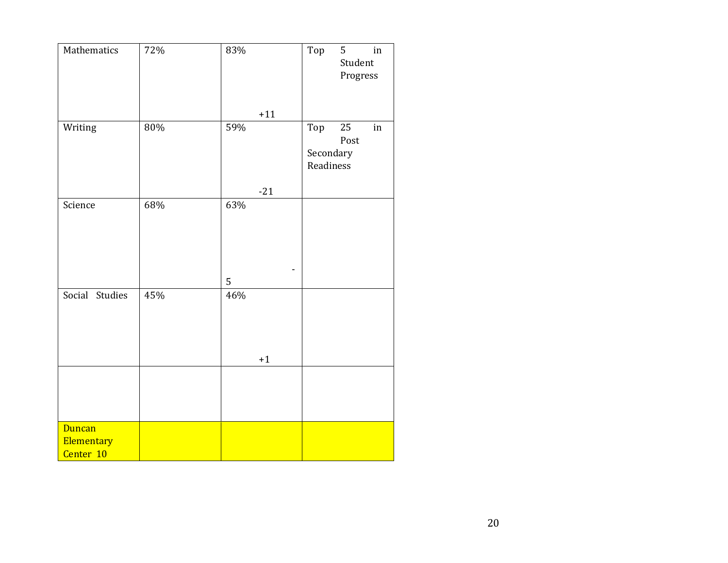| Mathematics             | 72% | $83\%$ | Top                           | 5<br>Student<br>Progress | $\operatorname{in}$ |
|-------------------------|-----|--------|-------------------------------|--------------------------|---------------------|
|                         |     | $+11$  |                               |                          |                     |
| Writing                 | 80% | 59%    | Top<br>Secondary<br>Readiness | 25<br>Post               | in                  |
|                         |     | $-21$  |                               |                          |                     |
| Science                 | 68% | 63%    |                               |                          |                     |
|                         |     | 5      |                               |                          |                     |
| Social Studies          | 45% | 46%    |                               |                          |                     |
|                         |     | $+1$   |                               |                          |                     |
|                         |     |        |                               |                          |                     |
| <b>Duncan</b>           |     |        |                               |                          |                     |
| Elementary<br>Center 10 |     |        |                               |                          |                     |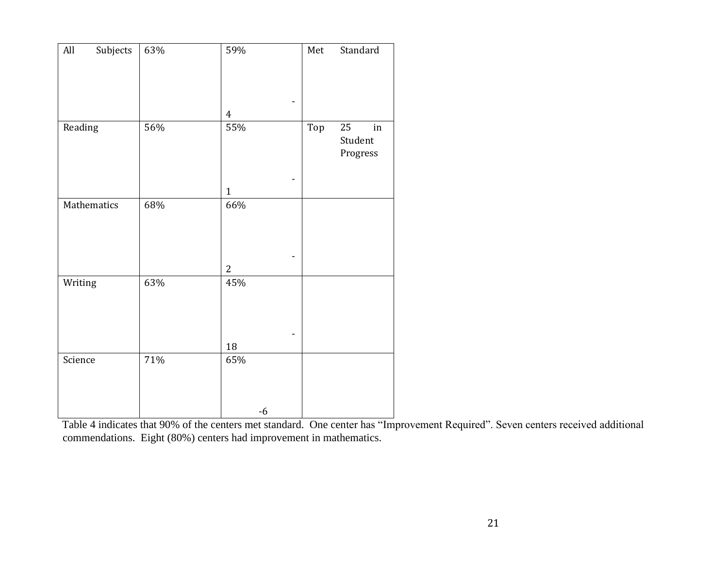| $\mathop{\rm All}\nolimits$<br>Subjects | 63%    | 59%            | Standard<br>${\sf Met}$                |
|-----------------------------------------|--------|----------------|----------------------------------------|
|                                         |        | $\overline{4}$ |                                        |
| Reading                                 | 56%    | 55%            | Top<br>25<br>in<br>Student<br>Progress |
|                                         |        | $\mathbf{1}$   |                                        |
| Mathematics                             | 68%    | 66%            |                                        |
|                                         |        | $\mathbf{2}$   |                                        |
| Writing                                 | 63%    | 45%            |                                        |
|                                         |        | 18             |                                        |
| Science                                 | $71\%$ | 65%            |                                        |
|                                         |        | $-6$           |                                        |

Table 4 indicates that 90% of the centers met standard. One center has "Improvement Required". Seven centers received additional commendations. Eight (80%) centers had improvement in mathematics.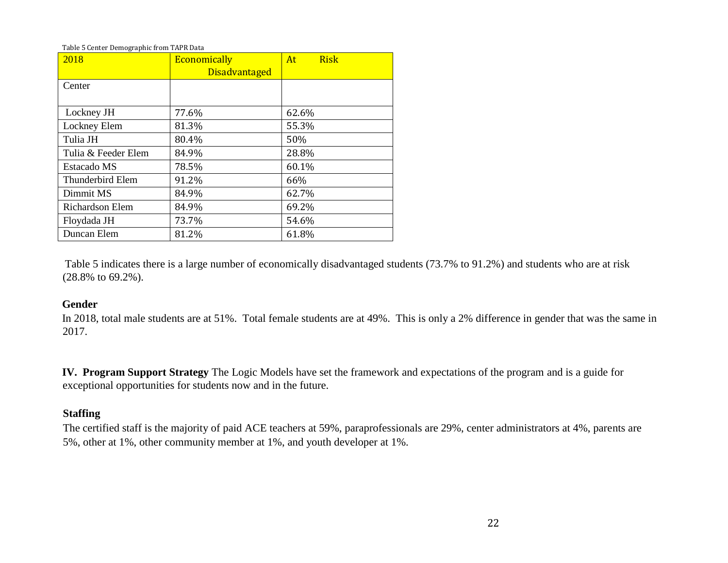Table 5 Center Demographic from TAPR Data

| 2018                | Economically         | <b>Risk</b><br>At |
|---------------------|----------------------|-------------------|
|                     | <b>Disadvantaged</b> |                   |
| Center              |                      |                   |
|                     |                      |                   |
| Lockney JH          | 77.6%                | 62.6%             |
| Lockney Elem        | 81.3%                | 55.3%             |
| Tulia JH            | 80.4%                | 50%               |
| Tulia & Feeder Elem | 84.9%                | 28.8%             |
| Estacado MS         | 78.5%                | 60.1%             |
| Thunderbird Elem    | 91.2%                | 66%               |
| Dimmit MS           | 84.9%                | 62.7%             |
| Richardson Elem     | 84.9%                | 69.2%             |
| Floydada JH         | 73.7%                | 54.6%             |
| Duncan Elem         | 81.2%                | 61.8%             |

Table 5 indicates there is a large number of economically disadvantaged students (73.7% to 91.2%) and students who are at risk (28.8% to 69.2%).

### **Gender**

In 2018, total male students are at 51%. Total female students are at 49%. This is only a 2% difference in gender that was the same in 2017.

**IV. Program Support Strategy** The Logic Models have set the framework and expectations of the program and is a guide for exceptional opportunities for students now and in the future.

### **Staffing**

The certified staff is the majority of paid ACE teachers at 59%, paraprofessionals are 29%, center administrators at 4%, parents are 5%, other at 1%, other community member at 1%, and youth developer at 1%.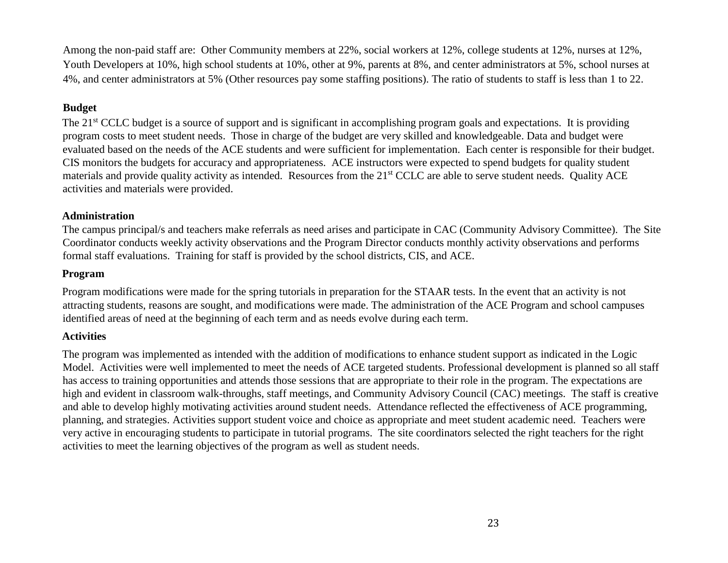Among the non-paid staff are: Other Community members at 22%, social workers at 12%, college students at 12%, nurses at 12%, Youth Developers at 10%, high school students at 10%, other at 9%, parents at 8%, and center administrators at 5%, school nurses at 4%, and center administrators at 5% (Other resources pay some staffing positions). The ratio of students to staff is less than 1 to 22.

### **Budget**

The 21<sup>st</sup> CCLC budget is a source of support and is significant in accomplishing program goals and expectations. It is providing program costs to meet student needs. Those in charge of the budget are very skilled and knowledgeable. Data and budget were evaluated based on the needs of the ACE students and were sufficient for implementation. Each center is responsible for their budget. CIS monitors the budgets for accuracy and appropriateness. ACE instructors were expected to spend budgets for quality student materials and provide quality activity as intended. Resources from the 21<sup>st</sup> CCLC are able to serve student needs. Quality ACE activities and materials were provided.

### **Administration**

The campus principal/s and teachers make referrals as need arises and participate in CAC (Community Advisory Committee). The Site Coordinator conducts weekly activity observations and the Program Director conducts monthly activity observations and performs formal staff evaluations. Training for staff is provided by the school districts, CIS, and ACE.

### **Program**

Program modifications were made for the spring tutorials in preparation for the STAAR tests. In the event that an activity is not attracting students, reasons are sought, and modifications were made. The administration of the ACE Program and school campuses identified areas of need at the beginning of each term and as needs evolve during each term.

### **Activities**

The program was implemented as intended with the addition of modifications to enhance student support as indicated in the Logic Model. Activities were well implemented to meet the needs of ACE targeted students. Professional development is planned so all staff has access to training opportunities and attends those sessions that are appropriate to their role in the program. The expectations are high and evident in classroom walk-throughs, staff meetings, and Community Advisory Council (CAC) meetings. The staff is creative and able to develop highly motivating activities around student needs. Attendance reflected the effectiveness of ACE programming, planning, and strategies. Activities support student voice and choice as appropriate and meet student academic need.Teachers were very active in encouraging students to participate in tutorial programs. The site coordinators selected the right teachers for the right activities to meet the learning objectives of the program as well as student needs.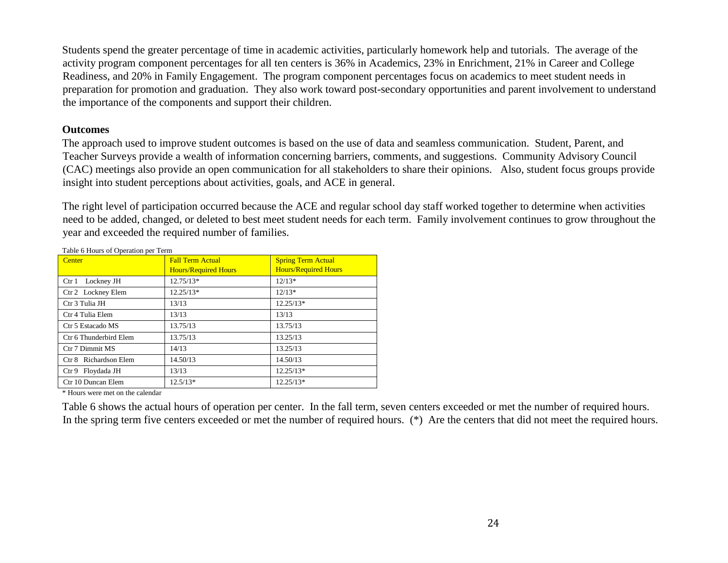Students spend the greater percentage of time in academic activities, particularly homework help and tutorials. The average of the activity program component percentages for all ten centers is 36% in Academics, 23% in Enrichment, 21% in Career and College Readiness, and 20% in Family Engagement. The program component percentages focus on academics to meet student needs in preparation for promotion and graduation. They also work toward post-secondary opportunities and parent involvement to understand the importance of the components and support their children.

### **Outcomes**

The approach used to improve student outcomes is based on the use of data and seamless communication. Student, Parent, and Teacher Surveys provide a wealth of information concerning barriers, comments, and suggestions. Community Advisory Council (CAC) meetings also provide an open communication for all stakeholders to share their opinions. Also, student focus groups provide insight into student perceptions about activities, goals, and ACE in general.

The right level of participation occurred because the ACE and regular school day staff worked together to determine when activities need to be added, changed, or deleted to best meet student needs for each term. Family involvement continues to grow throughout the year and exceeded the required number of families.

| Center                 | <b>Fall Term Actual</b>     | <b>Spring Term Actual</b>   |
|------------------------|-----------------------------|-----------------------------|
|                        | <b>Hours/Required Hours</b> | <b>Hours/Required Hours</b> |
|                        |                             |                             |
| Lockney JH<br>$C$ tr 1 | $12.75/13*$                 | $12/13*$                    |
| Ctr 2 Lockney Elem     | $12.25/13*$                 | $12/13*$                    |
| Ctr 3 Tulia JH         | 13/13                       | $12.25/13*$                 |
| Ctr 4 Tulia Elem       | 13/13                       | 13/13                       |
| Ctr 5 Estacado MS      | 13.75/13                    | 13.75/13                    |
| Ctr 6 Thunderbird Elem | 13.75/13                    | 13.25/13                    |
| Ctr 7 Dimmit MS        | 14/13                       | 13.25/13                    |
| Ctr 8 Richardson Elem  | 14.50/13                    | 14.50/13                    |
| Ctr 9 Floydada JH      | 13/13                       | $12.25/13*$                 |
| Ctr 10 Duncan Elem     | $12.5/13*$                  | $12.25/13*$                 |

\* Hours were met on the calendar

Table 6 shows the actual hours of operation per center. In the fall term, seven centers exceeded or met the number of required hours. In the spring term five centers exceeded or met the number of required hours. (\*) Are the centers that did not meet the required hours.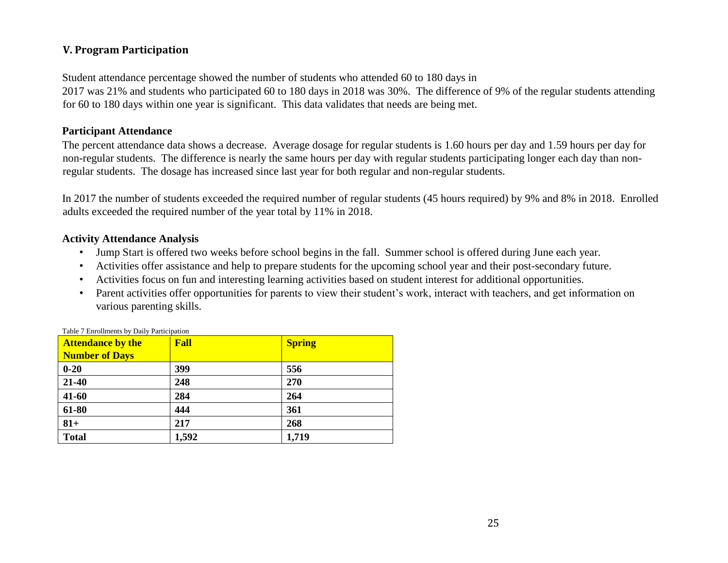### **V. Program Participation**

Student attendance percentage showed the number of students who attended 60 to 180 days in 2017 was 21% and students who participated 60 to 180 days in 2018 was 30%. The difference of 9% of the regular students attending for 60 to 180 days within one year is significant. This data validates that needs are being met.

### **Participant Attendance**

The percent attendance data shows a decrease. Average dosage for regular students is 1.60 hours per day and 1.59 hours per day for non-regular students. The difference is nearly the same hours per day with regular students participating longer each day than nonregular students. The dosage has increased since last year for both regular and non-regular students.

In 2017 the number of students exceeded the required number of regular students (45 hours required) by 9% and 8% in 2018. Enrolled adults exceeded the required number of the year total by 11% in 2018.

### **Activity Attendance Analysis**

- Jump Start is offered two weeks before school begins in the fall. Summer school is offered during June each year.
- Activities offer assistance and help to prepare students for the upcoming school year and their post-secondary future.
- Activities focus on fun and interesting learning activities based on student interest for additional opportunities.
- Parent activities offer opportunities for parents to view their student's work, interact with teachers, and get information on various parenting skills.

| <b>Attendance by the</b> | Fall  | <b>Spring</b> |
|--------------------------|-------|---------------|
| <b>Number of Days</b>    |       |               |
| $0 - 20$                 | 399   | 556           |
| 21-40                    | 248   | 270           |
| 41-60                    | 284   | 264           |
| 61-80                    | 444   | 361           |
| $81+$                    | 217   | 268           |
| <b>Total</b>             | 1,592 | 1,719         |

Table 7 Enrollments by Daily Participation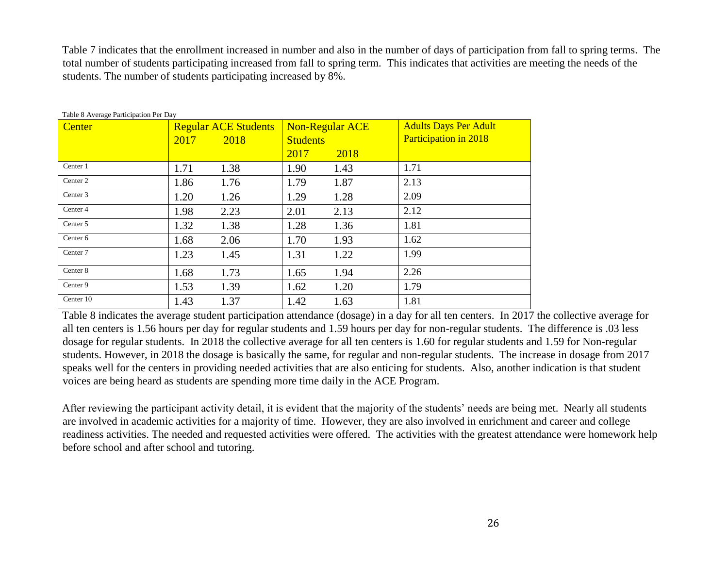Table 7 indicates that the enrollment increased in number and also in the number of days of participation from fall to spring terms. The total number of students participating increased from fall to spring term. This indicates that activities are meeting the needs of the students. The number of students participating increased by 8%.

| Center              |      | <b>Regular ACE Students</b> | <b>Non-Regular ACE</b> |      | <b>Adults Days Per Adult</b> |
|---------------------|------|-----------------------------|------------------------|------|------------------------------|
|                     | 2017 | 2018                        | <b>Students</b>        |      | <b>Participation in 2018</b> |
|                     |      |                             | 2017                   | 2018 |                              |
| Center 1            | 1.71 | 1.38                        | 1.90                   | 1.43 | 1.71                         |
| Center 2            | 1.86 | 1.76                        | 1.79                   | 1.87 | 2.13                         |
| Center 3            | 1.20 | 1.26                        | 1.29                   | 1.28 | 2.09                         |
| Center 4            | 1.98 | 2.23                        | 2.01                   | 2.13 | 2.12                         |
| Center 5            | 1.32 | 1.38                        | 1.28                   | 1.36 | 1.81                         |
| Center <sub>6</sub> | 1.68 | 2.06                        | 1.70                   | 1.93 | 1.62                         |
| Center 7            | 1.23 | 1.45                        | 1.31                   | 1.22 | 1.99                         |
| Center 8            | 1.68 | 1.73                        | 1.65                   | 1.94 | 2.26                         |
| Center 9            | 1.53 | 1.39                        | 1.62                   | 1.20 | 1.79                         |
| Center 10           | 1.43 | 1.37                        | 1.42                   | 1.63 | 1.81                         |

Table 8 Average Participation Per Day

Table 8 indicates the average student participation attendance (dosage) in a day for all ten centers. In 2017 the collective average for all ten centers is 1.56 hours per day for regular students and 1.59 hours per day for non-regular students. The difference is .03 less dosage for regular students. In 2018 the collective average for all ten centers is 1.60 for regular students and 1.59 for Non-regular students. However, in 2018 the dosage is basically the same, for regular and non-regular students. The increase in dosage from 2017 speaks well for the centers in providing needed activities that are also enticing for students. Also, another indication is that student voices are being heard as students are spending more time daily in the ACE Program.

After reviewing the participant activity detail, it is evident that the majority of the students' needs are being met. Nearly all students are involved in academic activities for a majority of time. However, they are also involved in enrichment and career and college readiness activities. The needed and requested activities were offered. The activities with the greatest attendance were homework help before school and after school and tutoring.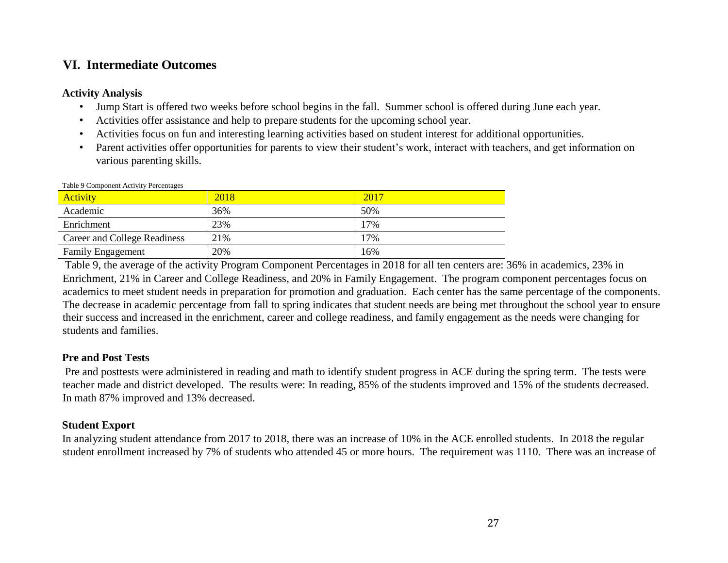### **VI. Intermediate Outcomes**

### **Activity Analysis**

- Jump Start is offered two weeks before school begins in the fall. Summer school is offered during June each year.
- Activities offer assistance and help to prepare students for the upcoming school year.
- Activities focus on fun and interesting learning activities based on student interest for additional opportunities.
- Parent activities offer opportunities for parents to view their student's work, interact with teachers, and get information on various parenting skills.

| <b>Activity</b>              | 2018 | 2017 |
|------------------------------|------|------|
| Academic                     | 36%  | 50%  |
| Enrichment                   | 23%  | 17%  |
| Career and College Readiness | 21%  | 17%  |
| <b>Family Engagement</b>     | 20%  | 16%  |

Table 9 Component Activity Percentages

Table 9, the average of the activity Program Component Percentages in 2018 for all ten centers are: 36% in academics, 23% in Enrichment, 21% in Career and College Readiness, and 20% in Family Engagement. The program component percentages focus on academics to meet student needs in preparation for promotion and graduation. Each center has the same percentage of the components. The decrease in academic percentage from fall to spring indicates that student needs are being met throughout the school year to ensure their success and increased in the enrichment, career and college readiness, and family engagement as the needs were changing for students and families.

### **Pre and Post Tests**

Pre and posttests were administered in reading and math to identify student progress in ACE during the spring term. The tests were teacher made and district developed. The results were: In reading, 85% of the students improved and 15% of the students decreased. In math 87% improved and 13% decreased.

### **Student Export**

In analyzing student attendance from 2017 to 2018, there was an increase of 10% in the ACE enrolled students. In 2018 the regular student enrollment increased by 7% of students who attended 45 or more hours. The requirement was 1110. There was an increase of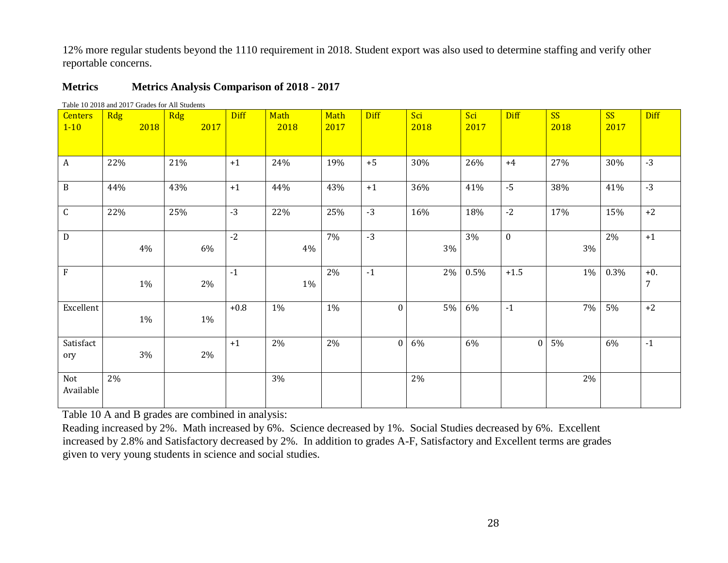12% more regular students beyond the 1110 requirement in 2018. Student export was also used to determine staffing and verify other reportable concerns.

### **Metrics Metrics Analysis Comparison of 2018 - 2017**

| <b>Centers</b><br>$1 - 10$ | <b>Rdg</b> | 2018  | Rdg | 2017  | <b>Diff</b> | Math<br>2018 | Math<br>2017 | <b>Diff</b>  | Sci<br>2018 | Sci<br>2017 | <b>Diff</b>  | <b>SS</b><br>2018 | <b>SS</b><br>2017 | <b>Diff</b>             |
|----------------------------|------------|-------|-----|-------|-------------|--------------|--------------|--------------|-------------|-------------|--------------|-------------------|-------------------|-------------------------|
|                            |            |       |     |       |             |              |              |              |             |             |              |                   |                   |                         |
| $\boldsymbol{A}$           | 22%        |       | 21% |       | $+1$        | 24%          | 19%          | $+5$         | 30%         | 26%         | $+4$         | 27%               | 30%               | $-3$                    |
| $\, {\bf B}$               | 44%        |       | 43% |       | $+1$        | 44%          | 43%          | $+1$         | 36%         | 41%         | $-5$         | 38%               | 41%               | $-3$                    |
| $\mathsf C$                | 22%        |       | 25% |       | $-3$        | 22%          | 25%          | $-3$         | 16%         | 18%         | $-2$         | 17%               | 15%               | $+2$                    |
| D                          |            | 4%    |     | 6%    | $-2$        | 4%           | 7%           | $-3$         | $3\%$       | 3%          | $\mathbf{0}$ | 3%                | 2%                | $+1$                    |
| $\mathbf{F}$               |            | 1%    |     | 2%    | $-1$        | 1%           | 2%           | $-1$         | 2%          | 0.5%        | $+1.5$       | 1%                | 0.3%              | $+0.$<br>$\overline{7}$ |
| Excellent                  |            | $1\%$ |     | 1%    | $+0.8$      | 1%           | 1%           | $\Omega$     | 5%          | 6%          | $-1$         | 7%                | 5%                | $+2$                    |
| Satisfact<br>ory           |            | 3%    |     | $2\%$ | $+1$        | 2%           | 2%           | $\mathbf{0}$ | 6%          | 6%          | $\mathbf{0}$ | 5%                | 6%                | $-1$                    |
| Not<br>Available           | 2%         |       |     |       |             | 3%           |              |              | 2%          |             |              | 2%                |                   |                         |

Table 10 2018 and 2017 Grades for All Students

Table 10 A and B grades are combined in analysis:

Reading increased by 2%. Math increased by 6%. Science decreased by 1%. Social Studies decreased by 6%. Excellent increased by 2.8% and Satisfactory decreased by 2%. In addition to grades A-F, Satisfactory and Excellent terms are grades given to very young students in science and social studies.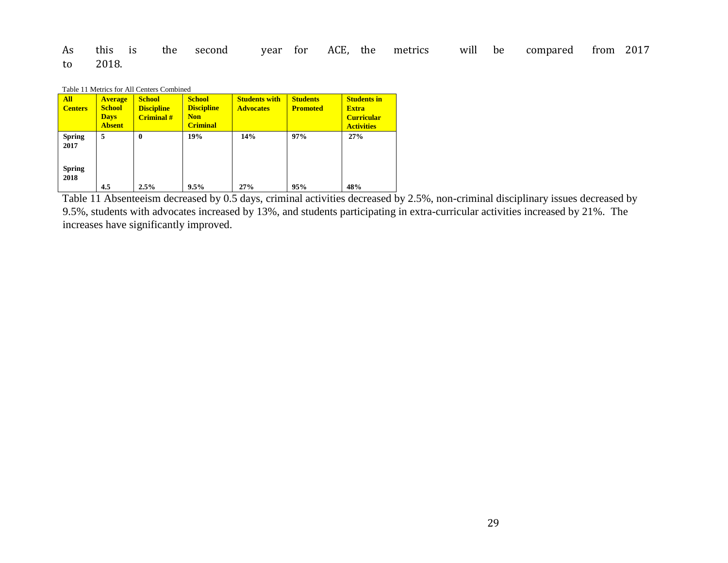As this is the second year for ACE, the metrics will be compared from 2017 to 2018.

|  | Table 11 Metrics for All Centers Combined |  |  |
|--|-------------------------------------------|--|--|
|--|-------------------------------------------|--|--|

| <b>All</b><br><b>Centers</b>                   | <b>Average</b><br><b>School</b><br><b>Days</b><br><b>Absent</b> | <b>School</b><br><b>Discipline</b><br><b>Criminal</b> # | <b>School</b><br><b>Discipline</b><br><b>Non</b><br><b>Criminal</b> | <b>Students with</b><br><b>Advocates</b> | <b>Students</b><br><b>Promoted</b> | <b>Students in</b><br><b>Extra</b><br><b>Curricular</b><br><b>Activities</b> |
|------------------------------------------------|-----------------------------------------------------------------|---------------------------------------------------------|---------------------------------------------------------------------|------------------------------------------|------------------------------------|------------------------------------------------------------------------------|
| <b>Spring</b><br>2017<br><b>Spring</b><br>2018 | 5                                                               | $\boldsymbol{0}$                                        | 19%                                                                 | 14%                                      | 97%                                | 27%                                                                          |
|                                                | 4.5                                                             | 2.5%                                                    | 9.5%                                                                | 27%                                      | 95%                                | 48%                                                                          |

Table 11 Absenteeism decreased by 0.5 days, criminal activities decreased by 2.5%, non-criminal disciplinary issues decreased by 9.5%, students with advocates increased by 13%, and students participating in extra-curricular activities increased by 21%. The increases have significantly improved.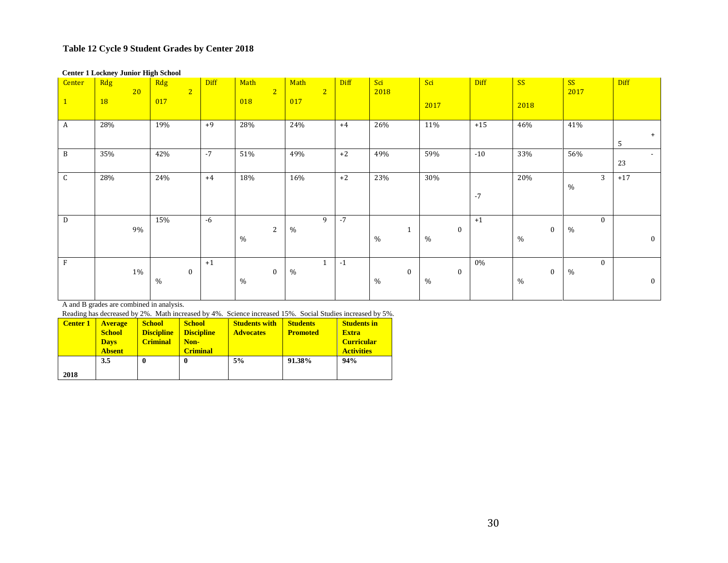### **Table 12 Cycle 9 Student Grades by Center 2018**

#### **Center 1 Lockney Junior High School**

| Center       | Rdg<br>20<br>18 | Rdg<br>$\overline{2}$<br>017 | <b>Diff</b> | Math<br>$\overline{2}$<br>018 | Math<br>$\overline{2}$<br>017 | <b>Diff</b> | Sci<br>2018          | Sci<br>2017      | <b>Diff</b> | SS<br>2018       | SS<br>2017                    | Diff         |
|--------------|-----------------|------------------------------|-------------|-------------------------------|-------------------------------|-------------|----------------------|------------------|-------------|------------------|-------------------------------|--------------|
| A            | 28%             | 19%                          | $+9$        | 28%                           | 24%                           | $+4$        | 26%                  | 11%              | $+15$       | 46%              | 41%                           | $+$<br>5     |
| $\, {\bf B}$ | 35%             | 42%                          | $-7$        | 51%                           | 49%                           | $+2$        | 49%                  | 59%              | $-10$       | 33%              | 56%                           | $\sim$<br>23 |
| $\mathsf{C}$ | 28%             | 24%                          | $+4$        | 18%                           | 16%                           | $+2$        | 23%                  | 30%              | $-7$        | 20%              | 3<br>$\%$                     | $+17$        |
| D            | $9\%$           | 15%                          | $-6$        | 2<br>$\%$                     | 9<br>$\%$                     | $-7$        | $\mathbf{1}$<br>$\%$ | $\bf{0}$<br>$\%$ | $+1$        | $\bf{0}$<br>$\%$ | $\mathbf{0}$<br>$\frac{0}{0}$ | $\bf{0}$     |
| F            | 1%              | $\bf{0}$<br>$\%$             | $+1$        | $\mathbf{0}$<br>%             | $\mathbf{1}$<br>$\%$          | $-1$        | $\bf{0}$<br>$\%$     | $\bf{0}$<br>$\%$ | 0%          | $\bf{0}$<br>$\%$ | $\mathbf{0}$<br>$\%$          | $\bf{0}$     |

A and B grades are combined in analysis.

Reading has decreased by 2%. Math increased by 4%. Science increased 15%. Social Studies increased by 5%.

| <b>Center 1</b> | <b>Average</b> | <b>School</b>     | <b>School</b>     | <b>Students with</b> | <b>Students</b> | <b>Students in</b> |
|-----------------|----------------|-------------------|-------------------|----------------------|-----------------|--------------------|
|                 | <b>School</b>  | <b>Discipline</b> | <b>Discipline</b> | <b>Advocates</b>     | <b>Promoted</b> | <b>Extra</b>       |
|                 | <b>Days</b>    | <b>Criminal</b>   | Non-              |                      |                 | <b>Curricular</b>  |
|                 | <b>Absent</b>  |                   | <b>Criminal</b>   |                      |                 | <b>Activities</b>  |
|                 | 3.5            | 0                 | $\mathbf 0$       | 5%                   | 91.38%          | 94%                |
| 2018            |                |                   |                   |                      |                 |                    |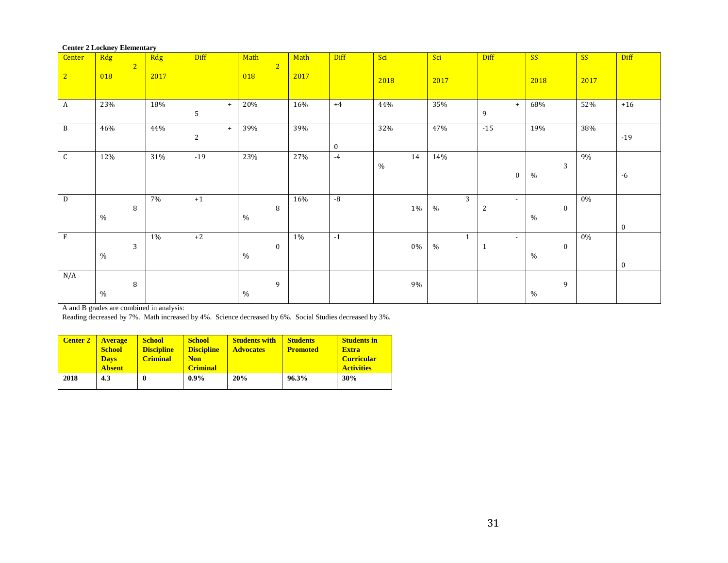| Center 2 LOCKITY Elementary |               |                |      |            |               |                |      |          |       |                |                          |                  |           |          |
|-----------------------------|---------------|----------------|------|------------|---------------|----------------|------|----------|-------|----------------|--------------------------|------------------|-----------|----------|
| Center                      | Rdg           |                | Rdg  | Diff       | Math          |                | Math | Diff     | Sci   | Sci            | Diff                     | <b>SS</b>        | <b>SS</b> | Diff     |
|                             |               | $\overline{2}$ |      |            |               | $\overline{2}$ |      |          |       |                |                          |                  |           |          |
| 2                           | 018           |                | 2017 |            | 018           |                | 2017 |          |       |                |                          |                  |           |          |
|                             |               |                |      |            |               |                |      |          | 2018  | 2017           |                          | 2018             | 2017      |          |
|                             |               |                |      |            |               |                |      |          |       |                |                          |                  |           |          |
| $\,$ A                      | 23%           |                | 18%  | $+$        | 20%           |                | 16%  | $+4$     | 44%   | 35%            | $+$                      | 68%              | 52%       | $+16$    |
|                             |               |                |      | 5          |               |                |      |          |       |                | 9                        |                  |           |          |
|                             |               |                |      |            |               |                |      |          |       |                |                          |                  |           |          |
| $\, {\bf B}$                | 46%           |                | 44%  | $+$        | 39%           |                | 39%  |          | 32%   | 47%            | $-15$                    | 19%              | 38%       |          |
|                             |               |                |      | $\sqrt{2}$ |               |                |      |          |       |                |                          |                  |           | $-19$    |
|                             |               |                |      |            |               |                |      | $\bf{0}$ |       |                |                          |                  |           |          |
| ${\mathsf C}$               | 12%           |                | 31%  | $-19$      | 23%           |                | 27%  | $-4$     | 14    | 14%            |                          |                  | 9%        |          |
|                             |               |                |      |            |               |                |      |          | $\%$  |                |                          | 3                |           |          |
|                             |               |                |      |            |               |                |      |          |       |                | $\bf{0}$                 | $\%$             |           | $-6$     |
|                             |               |                |      |            |               |                |      |          |       |                |                          |                  |           |          |
|                             |               |                |      |            |               |                |      |          |       |                |                          |                  |           |          |
| $\overline{D}$              |               |                | 7%   | $+1$       |               |                | 16%  | -8       |       | $\overline{3}$ | $\overline{\phantom{a}}$ |                  | $0\%$     |          |
|                             |               | 8              |      |            |               | 8              |      |          | $1\%$ | $\%$           | $\overline{c}$           | $\boldsymbol{0}$ |           |          |
|                             | $\frac{0}{0}$ |                |      |            | $\frac{0}{0}$ |                |      |          |       |                |                          | $\frac{0}{0}$    |           |          |
|                             |               |                |      |            |               |                |      |          |       |                |                          |                  |           | $\bf{0}$ |
| $\mathbf{F}$                |               |                | 1%   | $+2$       |               |                | 1%   | $-1$     |       | $\mathbf{1}$   | $\overline{\phantom{a}}$ |                  | $0\%$     |          |
|                             |               | 3              |      |            |               | $\bf{0}$       |      |          | $0\%$ | $\%$           | $\mathbf{1}$             | $\bf{0}$         |           |          |
|                             | $\%$          |                |      |            | $\%$          |                |      |          |       |                |                          | $\%$             |           |          |
|                             |               |                |      |            |               |                |      |          |       |                |                          |                  |           | $\bf{0}$ |
| N/A                         |               |                |      |            |               |                |      |          |       |                |                          |                  |           |          |
|                             |               | 8              |      |            |               | 9              |      |          | $9\%$ |                |                          | 9                |           |          |
|                             | $\%$          |                |      |            | $\%$          |                |      |          |       |                |                          | $\%$             |           |          |
|                             |               |                |      |            |               |                |      |          |       |                |                          |                  |           |          |

#### **Center 2 Lockney Elementary**

A and B grades are combined in analysis:

Reading decreased by 7%. Math increased by 4%. Science decreased by 6%. Social Studies decreased by 3%.

| <b>Center 2</b> | <b>Average</b><br><b>School</b><br><b>Days</b><br><b>Absent</b> | <b>School</b><br><b>Discipline</b><br><b>Criminal</b> | <b>School</b><br><b>Discipline</b><br><b>Non</b><br><b>Criminal</b> | <b>Students with</b><br><b>Advocates</b> | <b>Students</b><br><b>Promoted</b> | <b>Students in</b><br><b>Extra</b><br><b>Curricular</b><br><b>Activities</b> |
|-----------------|-----------------------------------------------------------------|-------------------------------------------------------|---------------------------------------------------------------------|------------------------------------------|------------------------------------|------------------------------------------------------------------------------|
| 2018            | 4.3                                                             |                                                       | $0.9\%$                                                             | 20%                                      | 96.3%                              | 30%                                                                          |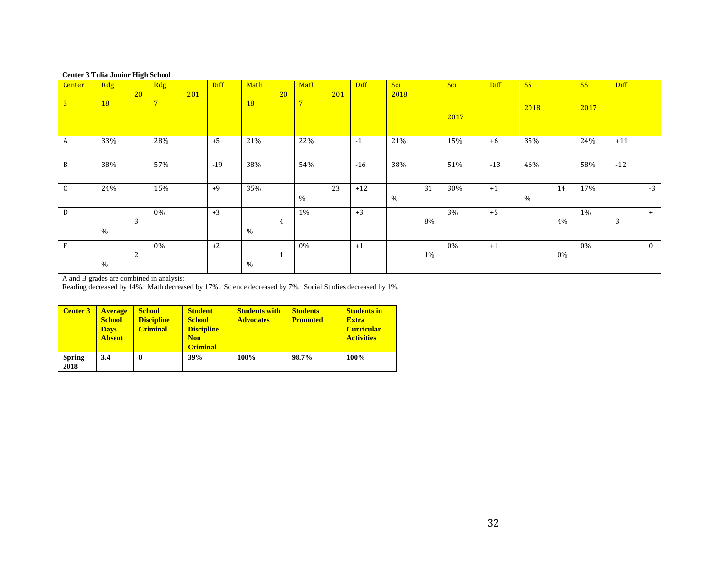#### **Center 3 Tulia Junior High School**

| Center<br>$\overline{3}$ | Rdg<br>20<br><b>18</b> | Rdg<br>201<br>$\overline{7}$ | <b>Diff</b> | Math<br><b>18</b> | 20             | Math<br>$\overline{7}$ | 201 | <b>Diff</b> | Sci<br>2018 | Sci<br>2017 | <b>Diff</b> | SS<br>2018 | <b>SS</b><br>2017 | <b>Diff</b> |
|--------------------------|------------------------|------------------------------|-------------|-------------------|----------------|------------------------|-----|-------------|-------------|-------------|-------------|------------|-------------------|-------------|
| A                        | 33%                    | 28%                          | $+5$        | 21%               |                | 22%                    |     | $-1$        | 21%         | 15%         | $+6$        | 35%        | 24%               | $+11$       |
| B                        | 38%                    | 57%                          | $-19$       | 38%               |                | 54%                    |     | $-16$       | 38%         | 51%         | $-13$       | 46%        | 58%               | $-12$       |
| $\mathsf{C}$             | 24%                    | 15%                          | $+9$        | 35%               |                | %                      | 23  | $+12$       | 31<br>$\%$  | 30%         | $+1$        | 14<br>$\%$ | 17%               | $-3$        |
| D                        | 3<br>$\%$              | 0%                           | $+3$        | $\%$              | $\overline{4}$ | 1%                     |     | $+3$        | $8\%$       | 3%          | $+5$        | $4\%$      | 1%                | $^{+}$<br>3 |
| $\mathbf{F}$             | 2<br>$\%$              | 0%                           | $+2$        | $\%$              | 1              | 0%                     |     | $+1$        | 1%          | 0%          | $+1$        | $0\%$      | $0\%$             | $\bf{0}$    |

A and B grades are combined in analysis:

Reading decreased by 14%. Math decreased by 17%. Science decreased by 7%. Social Studies decreased by 1%.

| <b>Center 3</b>       | <b>Average</b><br><b>School</b><br><b>Days</b><br><b>Absent</b> | <b>School</b><br><b>Discipline</b><br><b>Criminal</b> | <b>Student</b><br><b>School</b><br><b>Discipline</b><br><b>Non</b><br><b>Criminal</b> | <b>Students with</b><br><b>Advocates</b> | <b>Students</b><br><b>Promoted</b> | <b>Students in</b><br><b>Extra</b><br><b>Curricular</b><br><b>Activities</b> |
|-----------------------|-----------------------------------------------------------------|-------------------------------------------------------|---------------------------------------------------------------------------------------|------------------------------------------|------------------------------------|------------------------------------------------------------------------------|
| <b>Spring</b><br>2018 | 3.4                                                             | $\boldsymbol{0}$                                      | 39%                                                                                   | 100%                                     | 98.7%                              | 100%                                                                         |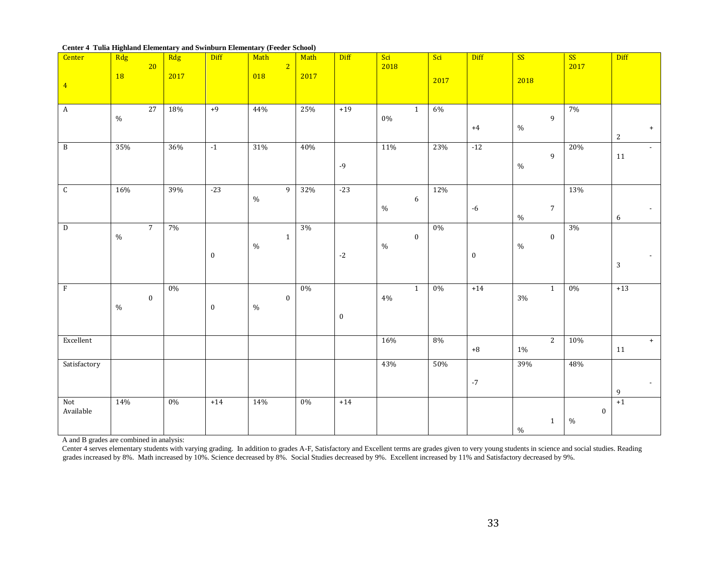#### **Center 4 Tulia Highland Elementary and Swinburn Elementary (Feeder School)**

| Center           | Rdg       | 20               | Rdg   | Diff             | Math<br>$\overline{2}$ | Math  | Diff              | Sci<br>2018              | Sci   | Diff             | SS                       | SS<br>2017 | Diff                       |
|------------------|-----------|------------------|-------|------------------|------------------------|-------|-------------------|--------------------------|-------|------------------|--------------------------|------------|----------------------------|
|                  | <b>18</b> |                  | 2017  |                  | 018                    | 2017  |                   |                          |       |                  |                          |            |                            |
| $\overline{4}$   |           |                  |       |                  |                        |       |                   |                          | 2017  |                  | 2018                     |            |                            |
|                  |           |                  |       |                  |                        |       |                   |                          |       |                  |                          |            |                            |
| $\mathbf{A}$     |           | 27               | 18%   | $+9$             | 44%                    | 25%   | $+19$             | $\mathbf{1}$<br>$0\%$    | 6%    |                  | $\mathbf{9}$             | 7%         |                            |
|                  | $\%$      |                  |       |                  |                        |       |                   |                          |       | $+4$             | $\%$                     |            | $+$                        |
|                  |           |                  |       |                  |                        |       |                   |                          |       |                  |                          |            | $\sqrt{2}$                 |
| $\, {\bf B}$     | 35%       |                  | 36%   | $-1$             | 31%                    | 40%   |                   | 11%                      | 23%   | $-12$            |                          | 20%        | $\mathbb{L}^{\mathbb{N}}$  |
|                  |           |                  |       |                  |                        |       | $-9$              |                          |       |                  | $\mathbf{9}$<br>$\%$     |            | $11\,$                     |
|                  |           |                  |       |                  |                        |       |                   |                          |       |                  |                          |            |                            |
| ${\mathsf C}$    | 16%       |                  | 39%   | $-23$            | $\overline{9}$         | 32%   | $-23$             |                          | 12%   |                  |                          | 13%        |                            |
|                  |           |                  |       |                  | $\%$                   |       |                   | $\boldsymbol{6}$<br>$\%$ |       | $-6$             | $\sqrt{7}$               |            |                            |
|                  |           |                  |       |                  |                        |       |                   |                          |       |                  | $\%$                     |            | $\sim$<br>$\boldsymbol{6}$ |
| ${\bf D}$        |           | $\overline{7}$   | 7%    |                  |                        | 3%    |                   |                          | $0\%$ |                  |                          | 3%         |                            |
|                  | $\%$      |                  |       |                  | $\mathbf 1$<br>$\%$    |       |                   | $\boldsymbol{0}$<br>$\%$ |       |                  | $\boldsymbol{0}$<br>$\%$ |            |                            |
|                  |           |                  |       | $\boldsymbol{0}$ |                        |       | $\textnormal{-}2$ |                          |       | $\boldsymbol{0}$ |                          |            | $\overline{\phantom{a}}$   |
|                  |           |                  |       |                  |                        |       |                   |                          |       |                  |                          |            | $\sqrt{3}$                 |
|                  |           |                  |       |                  |                        |       |                   |                          |       |                  |                          |            |                            |
| $\rm F$          |           | $\boldsymbol{0}$ | $0\%$ |                  | $\boldsymbol{0}$       | $0\%$ |                   | $\mathbf{1}$<br>$4\%$    | $0\%$ | $+14$            | $\mathbf{1}$<br>$3\%$    | $0\%$      | $+13$                      |
|                  | $\%$      |                  |       | $\boldsymbol{0}$ | $\%$                   |       |                   |                          |       |                  |                          |            |                            |
|                  |           |                  |       |                  |                        |       | $\boldsymbol{0}$  |                          |       |                  |                          |            |                            |
|                  |           |                  |       |                  |                        |       |                   |                          |       |                  |                          |            |                            |
| Excellent        |           |                  |       |                  |                        |       |                   | 16%                      | 8%    | $^{\bf +8}$      | $\overline{2}$<br>$1\%$  | 10%        | $+$<br>11                  |
|                  |           |                  |       |                  |                        |       |                   |                          |       |                  |                          |            |                            |
| Satisfactory     |           |                  |       |                  |                        |       |                   | 43%                      | 50%   |                  | 39%                      | 48%        |                            |
|                  |           |                  |       |                  |                        |       |                   |                          |       | $^{\rm -7}$      |                          |            | $\overline{\phantom{a}}$   |
|                  |           |                  |       |                  |                        |       |                   |                          |       |                  |                          |            | $\mathbf 9$                |
| Not<br>Available | 14%       |                  | 0%    | $+14$            | 14%                    | 0%    | $+14$             |                          |       |                  |                          | $\bf{0}$   | $+1$                       |
|                  |           |                  |       |                  |                        |       |                   |                          |       |                  | $\mathbf{1}$             | $\%$       |                            |
|                  |           |                  |       |                  |                        |       |                   |                          |       |                  | $\%$                     |            |                            |

A and B grades are combined in analysis:

Center 4 serves elementary students with varying grading. In addition to grades A-F, Satisfactory and Excellent terms are grades given to very young students in science and social studies. Reading grades increased by 8%. Math increased by 10%. Science decreased by 8%. Social Studies decreased by 9%. Excellent increased by 11% and Satisfactory decreased by 9%.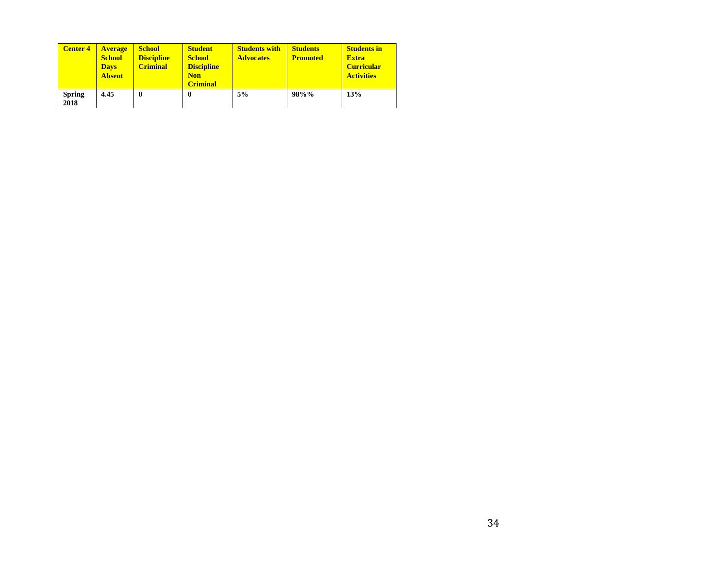| <b>Center 4</b>       | <b>Average</b><br><b>School</b><br><b>Days</b><br><b>Absent</b> | <b>School</b><br><b>Discipline</b><br><b>Criminal</b> | <b>Student</b><br><b>School</b><br><b>Discipline</b><br><b>Non</b><br><b>Criminal</b> | <b>Students with</b><br><b>Advocates</b> | <b>Students</b><br><b>Promoted</b> | <b>Students in</b><br><b>Extra</b><br><b>Curricular</b><br><b>Activities</b> |
|-----------------------|-----------------------------------------------------------------|-------------------------------------------------------|---------------------------------------------------------------------------------------|------------------------------------------|------------------------------------|------------------------------------------------------------------------------|
| <b>Spring</b><br>2018 | 4.45                                                            | $\boldsymbol{0}$                                      | 0                                                                                     | 5%                                       | 98%%                               | 13%                                                                          |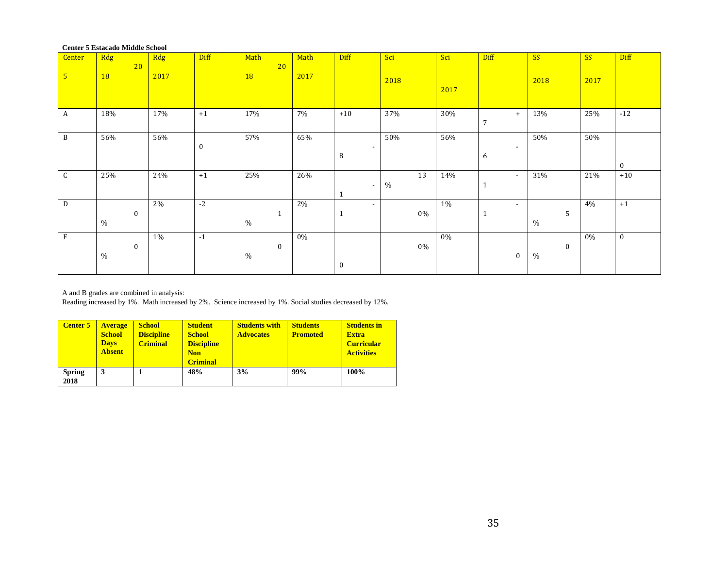|                | Center 5 Estação dinume School |       |             |              |      |                          |       |      |                          |           |           |          |
|----------------|--------------------------------|-------|-------------|--------------|------|--------------------------|-------|------|--------------------------|-----------|-----------|----------|
| Center         | Rdg                            | Rdg   | <b>Diff</b> | Math         | Math | Diff                     | Sci   | Sci  | Diff                     | <b>SS</b> | <b>SS</b> | Diff     |
|                |                                |       |             |              |      |                          |       |      |                          |           |           |          |
|                | 20                             |       |             | 20           |      |                          |       |      |                          |           |           |          |
| $5\phantom{1}$ | 18                             | 2017  |             | <b>18</b>    | 2017 |                          |       |      |                          |           |           |          |
|                |                                |       |             |              |      |                          | 2018  |      |                          | 2018      | 2017      |          |
|                |                                |       |             |              |      |                          |       | 2017 |                          |           |           |          |
|                |                                |       |             |              |      |                          |       |      |                          |           |           |          |
|                |                                |       |             |              |      |                          |       |      |                          |           |           |          |
|                |                                |       |             |              |      |                          |       |      |                          |           |           |          |
| A              | 18%                            | 17%   | $+1$        | 17%          | 7%   | $+10$                    | 37%   | 30%  | $+$                      | 13%       | 25%       | $-12$    |
|                |                                |       |             |              |      |                          |       |      | $\overline{7}$           |           |           |          |
|                |                                |       |             |              |      |                          |       |      |                          |           |           |          |
|                |                                |       |             |              | 65%  |                          | 50%   | 56%  |                          | 50%       |           |          |
| $\, {\bf B}$   | 56%                            | 56%   |             | 57%          |      |                          |       |      |                          |           | 50%       |          |
|                |                                |       | $\bf{0}$    |              |      | $\overline{\phantom{a}}$ |       |      | $\overline{\phantom{a}}$ |           |           |          |
|                |                                |       |             |              |      | 8                        |       |      |                          |           |           |          |
|                |                                |       |             |              |      |                          |       |      | 6                        |           |           |          |
|                |                                |       |             |              |      |                          |       |      |                          |           |           | $\bf{0}$ |
| $\mathsf C$    | 25%                            | 24%   | $+1$        | 25%          | 26%  |                          | 13    | 14%  | $\sim$                   | 31%       | 21%       | $+10$    |
|                |                                |       |             |              |      |                          |       |      |                          |           |           |          |
|                |                                |       |             |              |      | $\overline{\phantom{a}}$ | $\%$  |      | $\mathbf{1}$             |           |           |          |
|                |                                |       |             |              |      |                          |       |      |                          |           |           |          |
| $\mathbf D$    |                                | 2%    | $-2$        |              | 2%   |                          |       | 1%   | $\overline{\phantom{0}}$ |           | 4%        | $+1$     |
|                |                                |       |             |              |      | $\overline{\phantom{a}}$ |       |      |                          |           |           |          |
|                | $\bf{0}$                       |       |             | $\mathbf{1}$ |      | $\mathbf 1$              | 0%    |      | 1                        | 5         |           |          |
|                | %                              |       |             | $\%$         |      |                          |       |      |                          | %         |           |          |
|                |                                |       |             |              |      |                          |       |      |                          |           |           |          |
| $\, {\rm F}$   |                                | $1\%$ | $-1$        |              | 0%   |                          |       | 0%   |                          |           | $0\%$     | $\bf{0}$ |
|                |                                |       |             |              |      |                          |       |      |                          |           |           |          |
|                | $\bf{0}$                       |       |             | $\mathbf{0}$ |      |                          | $0\%$ |      |                          | $\bf{0}$  |           |          |
|                | $\%$                           |       |             | $\%$         |      |                          |       |      | $\mathbf{0}$             | $\%$      |           |          |
|                |                                |       |             |              |      |                          |       |      |                          |           |           |          |
|                |                                |       |             |              |      | $\bf{0}$                 |       |      |                          |           |           |          |
|                |                                |       |             |              |      |                          |       |      |                          |           |           |          |

**Center 5 Estacado Middle School** 

A and B grades are combined in analysis:

Reading increased by 1%. Math increased by 2%. Science increased by 1%. Social studies decreased by 12%.

| <b>Center 5</b>       | <b>Average</b><br><b>School</b><br><b>Days</b><br><b>Absent</b> | <b>School</b><br><b>Discipline</b><br><b>Criminal</b> | <b>Student</b><br><b>School</b><br><b>Discipline</b><br><b>Non</b><br><b>Criminal</b> | <b>Students with</b><br><b>Advocates</b> | <b>Students</b><br><b>Promoted</b> | <b>Students in</b><br><b>Extra</b><br><b>Curricular</b><br><b>Activities</b> |
|-----------------------|-----------------------------------------------------------------|-------------------------------------------------------|---------------------------------------------------------------------------------------|------------------------------------------|------------------------------------|------------------------------------------------------------------------------|
| <b>Spring</b><br>2018 | 3                                                               |                                                       | 48%                                                                                   | 3%                                       | 99%                                | 100%                                                                         |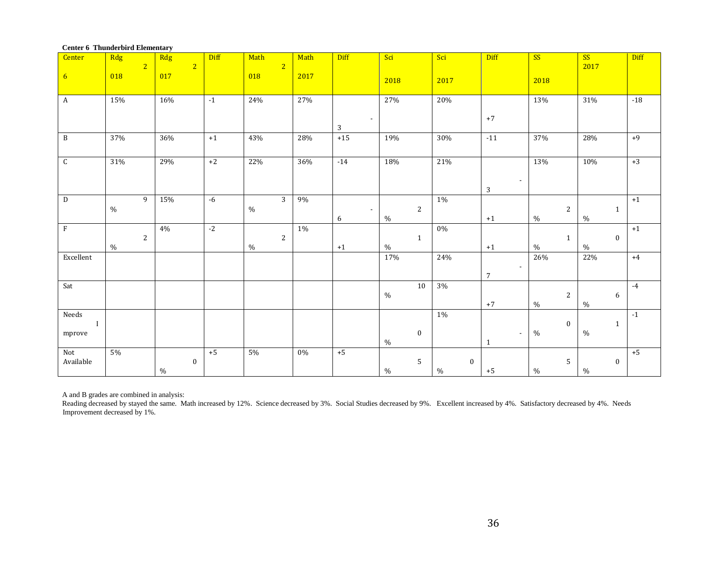| Center          | Rdg   | 2 <sup>2</sup> | Rdg  | $\overline{2}$ | Diff | Math  | 2 <sup>2</sup> | Math  | Diff                          | Sci  |                | Sci           | Diff             |                          | SS   |              | SS<br>2017 |          | Diff  |
|-----------------|-------|----------------|------|----------------|------|-------|----------------|-------|-------------------------------|------|----------------|---------------|------------------|--------------------------|------|--------------|------------|----------|-------|
| $6\overline{6}$ | 018   |                | 017  |                |      | 018   |                | 2017  |                               | 2018 |                | 2017          |                  |                          | 2018 |              |            |          |       |
| $\mathbf{A}$    | 15%   |                | 16%  |                | $-1$ | 24%   |                | 27%   |                               | 27%  |                | 20%           |                  |                          | 13%  |              | 31%        |          | $-18$ |
|                 |       |                |      |                |      |       |                |       | $\overline{\phantom{a}}$<br>3 |      |                |               | $+7$             |                          |      |              |            |          |       |
| $\, {\bf B}$    | 37%   |                | 36%  |                | $+1$ | 43%   |                | 28%   | $+15$                         | 19%  |                | 30%           | $-11$            |                          | 37%  |              | 28%        |          | $+9$  |
| C               | 31%   |                | 29%  |                | $+2$ | 22%   |                | 36%   | $-14$                         | 18%  |                | 21%           |                  | $\overline{\phantom{a}}$ | 13%  |              | 10%        |          | $+3$  |
|                 |       |                |      |                |      |       |                |       |                               |      |                |               | 3                |                          |      |              |            |          |       |
| $\mathbf D$     | $\%$  | 9              | 15%  |                | $-6$ | $\%$  | $\mathbf{3}$   | 9%    | $\sim$                        |      | $\overline{2}$ | $1\%$         |                  |                          |      | $\sqrt{2}$   |            | 1        | $+1$  |
| $\mathbf F$     |       |                | 4%   |                | $-2$ |       |                | $1\%$ | 6                             | $\%$ |                | $0\%$         | $+1$             |                          | $\%$ |              | $\%$       |          | $+1$  |
|                 |       | $\overline{2}$ |      |                |      |       | $\mathbf{2}$   |       |                               |      | $\mathbf{1}$   |               |                  |                          |      | $\mathbf{1}$ |            | $\bf{0}$ |       |
|                 | $\%$  |                |      |                |      | $\%$  |                |       | $+1$                          | $\%$ |                |               | $+1$             |                          | $\%$ |              | $\%$       |          |       |
| Excellent       |       |                |      |                |      |       |                |       |                               | 17%  |                | 24%           | $\overline{7}$   | $\overline{\phantom{a}}$ | 26%  |              | 22%        |          | $+4$  |
| Sat             |       |                |      |                |      |       |                |       |                               |      | 10             | $3\%$         |                  |                          |      |              |            |          | $-4$  |
|                 |       |                |      |                |      |       |                |       |                               | $\%$ |                |               | $+7$             |                          | $\%$ | $\sqrt{2}$   | $\%$       | 6        |       |
| Needs           |       |                |      |                |      |       |                |       |                               |      |                | $1\%$         |                  |                          |      |              |            |          | $-1$  |
| $\mathbf I$     |       |                |      |                |      |       |                |       |                               |      |                |               |                  |                          |      | $\bf{0}$     |            | 1        |       |
| mprove          |       |                |      |                |      |       |                |       |                               | $\%$ | $\bf{0}$       |               | $\mathbf{1}$     | $\sim$                   | $\%$ |              | $\%$       |          |       |
| Not             | $5\%$ |                |      |                | $+5$ | $5\%$ |                | $0\%$ | $+5$                          |      |                |               |                  |                          |      |              |            |          | $+5$  |
| Available       |       |                | $\%$ | $\bf{0}$       |      |       |                |       |                               | $\%$ | 5              | $\frac{0}{0}$ | $\bf{0}$<br>$+5$ |                          | $\%$ | 5            | $\%$       | $\bf{0}$ |       |

A and B grades are combined in analysis:

Reading decreased by stayed the same. Math increased by 12%. Science decreased by 3%. Social Studies decreased by 9%. Excellent increased by 4%. Satisfactory decreased by 4%. Needs Improvement decreased by 1%.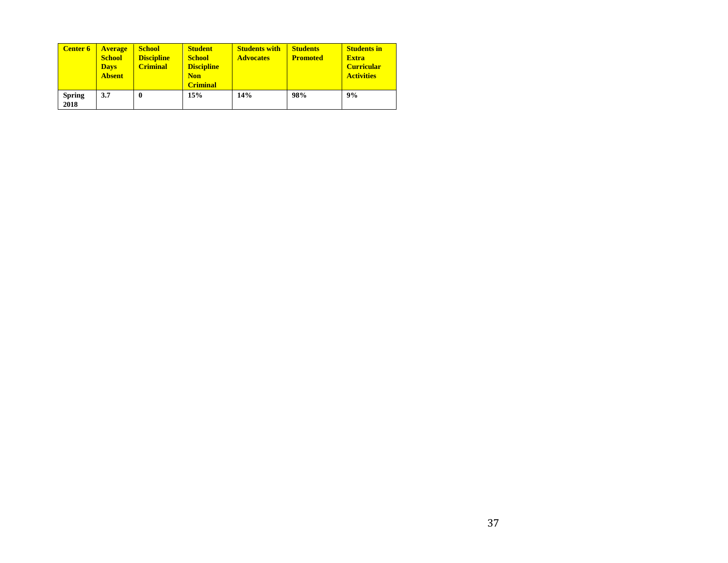| <b>Center 6</b>       | <b>Average</b><br><b>School</b><br><b>Days</b><br><b>Absent</b> | <b>School</b><br><b>Discipline</b><br><b>Criminal</b> | <b>Student</b><br><b>School</b><br><b>Discipline</b><br><b>Non</b><br><b>Criminal</b> | <b>Students with</b><br><b>Advocates</b> | <b>Students</b><br><b>Promoted</b> | <b>Students in</b><br><b>Extra</b><br><b>Curricular</b><br><b>Activities</b> |
|-----------------------|-----------------------------------------------------------------|-------------------------------------------------------|---------------------------------------------------------------------------------------|------------------------------------------|------------------------------------|------------------------------------------------------------------------------|
| <b>Spring</b><br>2018 | 3.7                                                             | 0                                                     | 15%                                                                                   | 14%                                      | 98%                                | 9%                                                                           |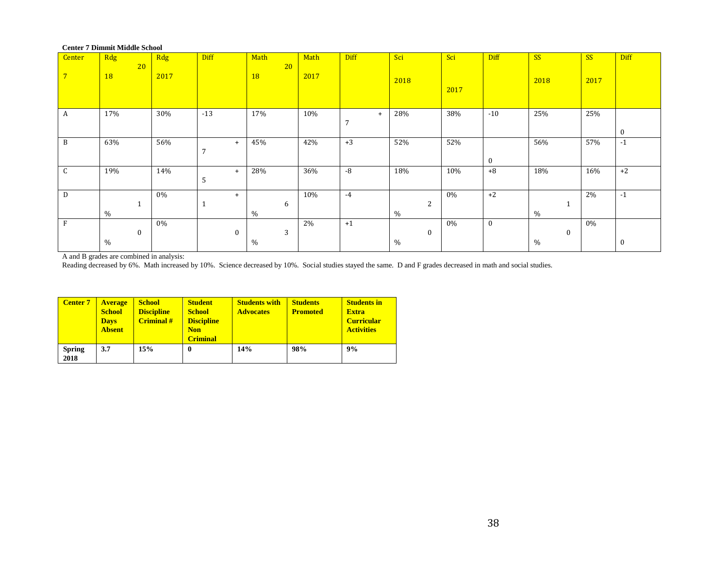|                  | Center / Dimmit Middle School |      |             |                    |      |                       |                  |       |                  |                      |       |             |
|------------------|-------------------------------|------|-------------|--------------------|------|-----------------------|------------------|-------|------------------|----------------------|-------|-------------|
| Center           | Rdg<br>20                     | Rdg  | <b>Diff</b> | Math<br>20         | Math | <b>Diff</b>           | Sci              | Sci   | Diff             | SS                   | SS    | <b>Diff</b> |
| $7^{\circ}$      | <b>18</b>                     | 2017 |             | <b>18</b>          | 2017 |                       | 2018             | 2017  |                  | 2018                 | 2017  |             |
| $\boldsymbol{A}$ | 17%                           | 30%  | $-13$       | 17%                | 10%  | $+$<br>$\overline{7}$ | 28%              | 38%   | $-10$            | 25%                  | 25%   | $\bf{0}$    |
| B                | 63%                           | 56%  | $+$<br>7    | 45%                | 42%  | $+3$                  | 52%              | 52%   | $\bf{0}$         | 56%                  | 57%   | $-1$        |
| C                | 19%                           | 14%  | $+$<br>5    | 28%                | 36%  | -8                    | 18%              | 10%   | $+8$             | 18%                  | 16%   | $+2$        |
| D                | $\mathbf{1}$<br>$\%$          | 0%   | $+$         | 6<br>$\%$          | 10%  | $-4$                  | 2<br>$\%$        | 0%    | $+2$             | %                    | 2%    | $-1$        |
| $\mathbf{F}$     | $\bf{0}$<br>$\%$              | 0%   | $\bf{0}$    | $\sqrt{3}$<br>$\%$ | 2%   | $+1$                  | $\bf{0}$<br>$\%$ | $0\%$ | $\boldsymbol{0}$ | $\mathbf{0}$<br>$\%$ | $0\%$ | $\bf{0}$    |
|                  |                               |      |             |                    |      |                       |                  |       |                  |                      |       |             |

#### **Center 7 Dimmit Middle School**

A and B grades are combined in analysis:

Reading decreased by 6%. Math increased by 10%. Science decreased by 10%. Social studies stayed the same. D and F grades decreased in math and social studies.

| <b>Center 7</b>       | <b>Average</b><br><b>School</b><br><b>Days</b><br><b>Absent</b> | <b>School</b><br><b>Discipline</b><br><b>Criminal</b> # | <b>Student</b><br><b>School</b><br><b>Discipline</b><br><b>Non</b><br><b>Criminal</b> | <b>Students with</b><br><b>Advocates</b> | <b>Students</b><br><b>Promoted</b> | <b>Students in</b><br><b>Extra</b><br><b>Curricular</b><br><b>Activities</b> |
|-----------------------|-----------------------------------------------------------------|---------------------------------------------------------|---------------------------------------------------------------------------------------|------------------------------------------|------------------------------------|------------------------------------------------------------------------------|
| <b>Spring</b><br>2018 | 3.7                                                             | 15%                                                     | 0                                                                                     | 14%                                      | 98%                                | 9%                                                                           |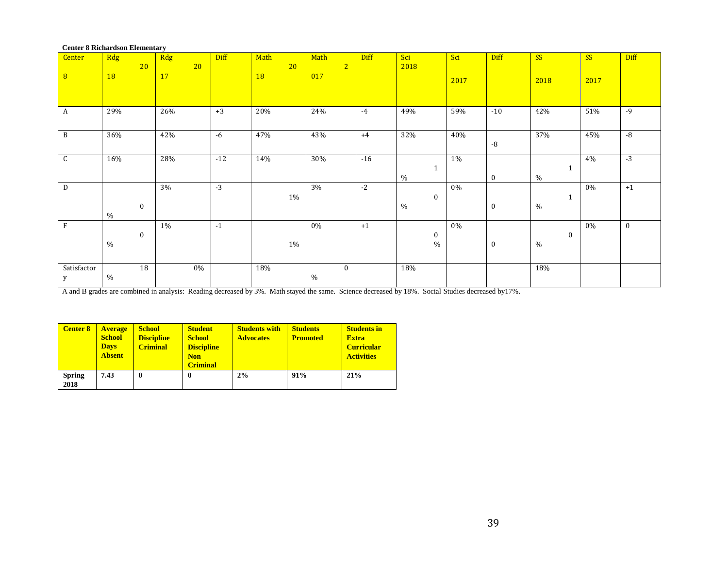| <b>Center 8 Richardson Elementary</b> |           |                  |     |    |             |      |    |      |                |             |      |              |      |             |      |              |      |              |
|---------------------------------------|-----------|------------------|-----|----|-------------|------|----|------|----------------|-------------|------|--------------|------|-------------|------|--------------|------|--------------|
| Center                                | Rdg       |                  | Rdg |    | <b>Diff</b> | Math |    | Math |                | <b>Diff</b> | Sci  |              | Sci  | <b>Diff</b> | SS   |              | SS   | <b>Diff</b>  |
|                                       |           | 20               |     | 20 |             |      | 20 |      | $\overline{2}$ |             | 2018 |              |      |             |      |              |      |              |
| $\overline{8}$                        | <b>18</b> |                  | 17  |    |             | 18   |    | 017  |                |             |      |              | 2017 |             | 2018 |              | 2017 |              |
|                                       |           |                  |     |    |             |      |    |      |                |             |      |              |      |             |      |              |      |              |
|                                       |           |                  |     |    |             |      |    |      |                |             |      |              |      |             |      |              |      |              |
| A                                     | 29%       |                  | 26% |    | $+3$        | 20%  |    | 24%  |                | $-4$        | 49%  |              | 59%  | $-10$       | 42%  |              | 51%  | $-9$         |
|                                       |           |                  |     |    |             |      |    |      |                |             |      |              |      |             |      |              |      |              |
| B                                     | 36%       |                  | 42% |    | $-6$        | 47%  |    | 43%  |                | $+4$        | 32%  |              | 40%  |             | 37%  |              | 45%  | $-8$         |
|                                       |           |                  |     |    |             |      |    |      |                |             |      |              |      | $\mbox{-}8$ |      |              |      |              |
| $\mathsf C$                           | 16%       |                  | 28% |    | $-12$       | 14%  |    | 30%  |                | $-16$       |      |              | 1%   |             |      |              | 4%   | $-3$         |
|                                       |           |                  |     |    |             |      |    |      |                |             |      | $\mathbf{1}$ |      |             |      | $\mathbf{1}$ |      |              |
|                                       |           |                  |     |    |             |      |    |      |                |             | $\%$ |              |      | $\bf{0}$    | $\%$ |              |      |              |
| D                                     |           |                  | 3%  |    | $-3$        |      |    | 3%   |                | $-2$        |      |              | 0%   |             |      |              | 0%   | $+1$         |
|                                       |           | $\boldsymbol{0}$ |     |    |             |      | 1% |      |                |             | $\%$ | $\bf{0}$     |      | $\bf{0}$    | $\%$ | 1            |      |              |
|                                       | $\%$      |                  |     |    |             |      |    |      |                |             |      |              |      |             |      |              |      |              |
| $\rm F$                               |           |                  | 1%  |    | $-1$        |      |    | 0%   |                | $+1$        |      |              | 0%   |             |      |              | 0%   | $\mathbf{0}$ |
|                                       |           | $\bf{0}$         |     |    |             |      |    |      |                |             |      | $\bf{0}$     |      |             |      | $\bf{0}$     |      |              |
|                                       | $\%$      |                  |     |    |             |      | 1% |      |                |             |      | $\%$         |      | $\bf{0}$    | $\%$ |              |      |              |
|                                       |           |                  |     |    |             |      |    |      |                |             |      |              |      |             |      |              |      |              |
| Satisfactor                           |           | 18               |     | 0% |             | 18%  |    |      | $\mathbf{0}$   |             | 18%  |              |      |             | 18%  |              |      |              |
| у                                     | $\%$      |                  |     |    |             |      |    | $\%$ |                |             |      |              |      |             |      |              |      |              |

A and B grades are combined in analysis: Reading decreased by 3%. Math stayed the same. Science decreased by 18%. Social Studies decreased by 17%.

| <b>Center 8</b>       | <b>Average</b><br><b>School</b><br><b>Days</b><br><b>Absent</b> | <b>School</b><br><b>Discipline</b><br><b>Criminal</b> | <b>Student</b><br><b>School</b><br><b>Discipline</b><br><b>Non</b><br><b>Criminal</b> | <b>Students with</b><br><b>Advocates</b> | <b>Students</b><br><b>Promoted</b> | <b>Students in</b><br><b>Extra</b><br><b>Curricular</b><br><b>Activities</b> |
|-----------------------|-----------------------------------------------------------------|-------------------------------------------------------|---------------------------------------------------------------------------------------|------------------------------------------|------------------------------------|------------------------------------------------------------------------------|
| <b>Spring</b><br>2018 | 7.43                                                            | $\boldsymbol{0}$                                      | 0                                                                                     | 2%                                       | 91%                                | 21%                                                                          |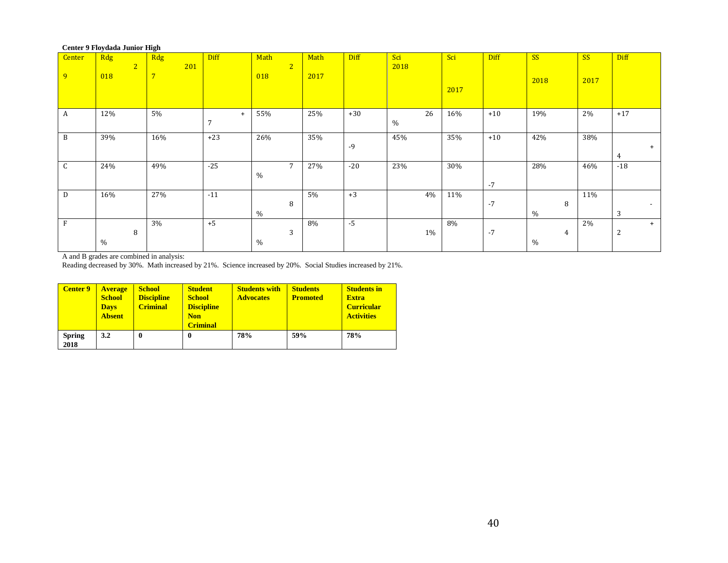#### **Center 9 Floydada Junior High**

| <b>Center</b><br>9 | Rdg<br>$\overline{2}$<br>018 | Rdg<br>201<br>$7\overline{ }$ | Diff                  | Math<br>$\sqrt{2}$<br>018 | Math<br>2017 | <b>Diff</b> | Sci<br>2018 | Sci<br>2017 | <b>Diff</b> | <b>SS</b><br>2018 | <b>SS</b><br>2017 | Diff                          |
|--------------------|------------------------------|-------------------------------|-----------------------|---------------------------|--------------|-------------|-------------|-------------|-------------|-------------------|-------------------|-------------------------------|
| A                  | 12%                          | 5%                            | $+$<br>$\overline{ }$ | 55%                       | 25%          | $+30$       | 26<br>$\%$  | 16%         | $+10$       | 19%               | 2%                | $+17$                         |
| B                  | 39%                          | 16%                           | $+23$                 | 26%                       | 35%          | $-9$        | 45%         | 35%         | $+10$       | 42%               | 38%               | $+$<br>4                      |
| $\sim$<br>U.       | 24%                          | 49%                           | $-25$                 | 7<br>%                    | 27%          | $-20$       | 23%         | 30%         | $-7$        | 28%               | 46%               | $-18$                         |
| D                  | 16%                          | 27%                           | $-11$                 | 8<br>%                    | 5%           | $+3$        | 4%          | 11%         | $-7$        | 8<br>%            | 11%               | $\overline{\phantom{a}}$<br>3 |
| $\mathbf{F}$       | 8<br>$\%$                    | 3%                            | $+5$                  | 3<br>%                    | 8%           | $-5$        | $1\%$       | 8%          | $-7$        | 4<br>%            | 2%                | $+$<br>$\overline{2}$         |

A and B grades are combined in analysis:

Reading decreased by 30%. Math increased by 21%. Science increased by 20%. Social Studies increased by 21%.

| <b>Center 9</b>       | <b>Average</b><br><b>School</b><br><b>Days</b><br><b>Absent</b> | <b>School</b><br><b>Discipline</b><br><b>Criminal</b> | <b>Student</b><br><b>School</b><br><b>Discipline</b><br><b>Non</b><br><b>Criminal</b> | <b>Students with</b><br><b>Advocates</b> | <b>Students</b><br><b>Promoted</b> | <b>Students in</b><br><b>Extra</b><br><b>Curricular</b><br><b>Activities</b> |
|-----------------------|-----------------------------------------------------------------|-------------------------------------------------------|---------------------------------------------------------------------------------------|------------------------------------------|------------------------------------|------------------------------------------------------------------------------|
| <b>Spring</b><br>2018 | 3.2                                                             | $\bf{0}$                                              | 0                                                                                     | 78%                                      | 59%                                | 78%                                                                          |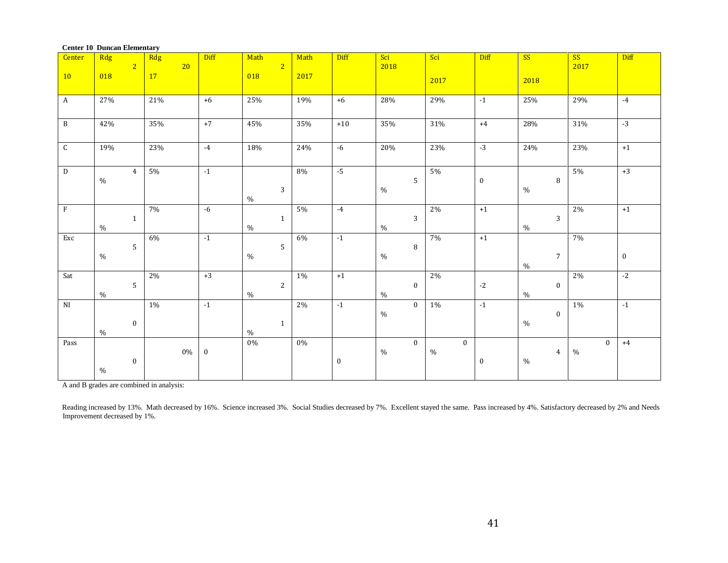| <b>Center</b>           | Center to Duncan Elementary<br>Rdg |                | Rdg             | <b>Diff</b>      | Math           | Math  | <b>Diff</b> | Sci             | Sci          | Diff     | SS                       | SS           | Diff     |
|-------------------------|------------------------------------|----------------|-----------------|------------------|----------------|-------|-------------|-----------------|--------------|----------|--------------------------|--------------|----------|
|                         |                                    | $\overline{2}$ | 20 <sup>°</sup> |                  | 2 <sup>7</sup> |       |             | 2018            |              |          |                          | 2017         |          |
| <b>10</b>               | 018                                |                | 17              |                  | 018            | 2017  |             |                 | 2017         |          | 2018                     |              |          |
| $\overline{A}$          | 27%                                |                | 21%             | $+6$             | 25%            | 19%   | $+6$        | 28%             | 29%          | $-1$     | 25%                      | 29%          | $-4$     |
|                         |                                    |                |                 |                  |                |       |             |                 |              |          |                          |              |          |
| B                       | 42%                                |                | 35%             | $+7$             | 45%            | 35%   | $+10$       | 35%             | 31%          | $+4$     | 28%                      | 31%          | $-3$     |
|                         |                                    |                |                 |                  |                |       |             |                 |              |          |                          |              |          |
| $\mathsf{C}$            | 19%                                |                | 23%             | $-4$             | 18%            | 24%   | $-6$        | 20%             | 23%          | $-3$     | 24%                      | 23%          | $+1$     |
|                         |                                    |                |                 |                  |                |       |             |                 |              |          |                          |              |          |
| D                       | $\%$                               | $\overline{4}$ | $5\%$           | $-1$             |                | 8%    | $-5$        | $5\phantom{.0}$ | 5%           | $\bf{0}$ | $\, 8$                   | 5%           | $+3$     |
|                         |                                    |                |                 |                  | $\mathbf{3}$   |       |             | $\%$            |              |          | $\%$                     |              |          |
|                         |                                    |                |                 |                  | $\%$           |       |             |                 |              |          |                          |              |          |
| $\overline{\mathrm{F}}$ |                                    | $\mathbf{1}$   | $7\%$           | $-6$             | $\mathbf{1}$   | $5\%$ | $-4$        | $\mathbf{3}$    | $2\%$        | $+1$     | 3                        | $2\%$        | $+1$     |
|                         | $\%$                               |                |                 |                  | $\%$           |       |             | $\%$            |              |          | $\%$                     |              |          |
| Exc                     |                                    |                | 6%              | $-1$             |                | 6%    | $-1$        |                 | 7%           | $+1$     |                          | 7%           |          |
|                         | $\%$                               | 5              |                 |                  | 5<br>$\%$      |       |             | $\, 8$<br>$\%$  |              |          | $\overline{7}$           |              | $\bf{0}$ |
|                         |                                    |                |                 |                  |                |       |             |                 |              |          | $\%$                     |              |          |
| Sat                     |                                    | 5              | $2\%$           | $+3$             | $\overline{2}$ | $1\%$ | $+1$        | $\bf{0}$        | 2%           | $-2$     |                          | $2\%$        | $-2$     |
|                         | $\%$                               |                |                 |                  | $\%$           |       |             | $\%$            |              |          | $\bf{0}$<br>$\%$         |              |          |
| N <sub>I</sub>          |                                    |                | $1\%$           | $-1$             |                | 2%    | $-1$        | $\mathbf{0}$    | $1\%$        | $-1$     |                          | 1%           | $-1$     |
|                         |                                    | $\bf{0}$       |                 |                  | $\mathbf{1}$   |       |             | $\%$            |              |          | $\boldsymbol{0}$<br>$\%$ |              |          |
|                         | $\%$                               |                |                 |                  | $\%$           |       |             |                 |              |          |                          |              |          |
| Pass                    |                                    |                |                 |                  | $0\%$          | $0\%$ |             | $\overline{0}$  | $\mathbf{0}$ |          |                          | $\mathbf{0}$ | $+4$     |
|                         |                                    | $\bf{0}$       | $0\%$           | $\boldsymbol{0}$ |                |       | $\bf{0}$    | $\%$            | $\%$         | $\bf{0}$ | $\overline{4}$<br>$\%$   | $\%$         |          |
|                         | $\%$                               |                |                 |                  |                |       |             |                 |              |          |                          |              |          |
|                         |                                    |                |                 |                  |                |       |             |                 |              |          |                          |              |          |

#### **Center 10 Duncan Elementary**

A and B grades are combined in analysis:

Reading increased by 13%. Math decreased by 16%. Science increased 3%. Social Studies decreased by 7%. Excellent stayed the same. Pass increased by 4%. Satisfactory decreased by 2% and Needs Improvement decreased by 1%.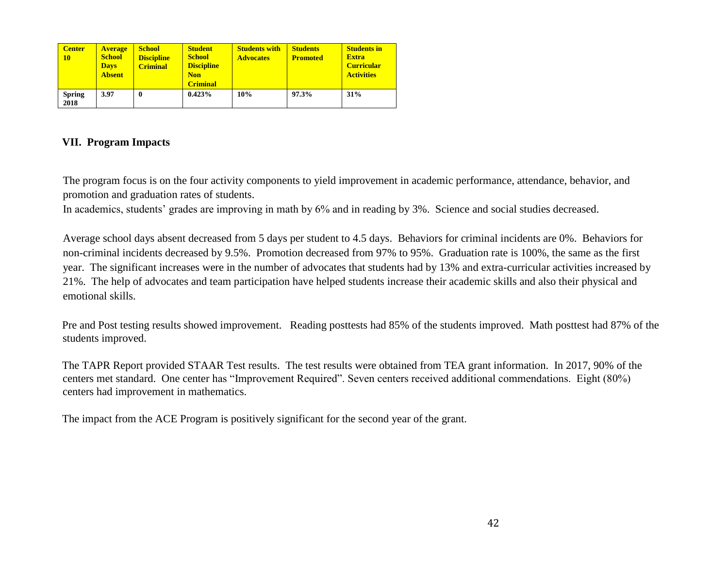| <b>Center</b><br><b>10</b> | <b>Average</b><br><b>School</b><br><b>Days</b><br><b>Absent</b> | <b>School</b><br><b>Discipline</b><br><b>Criminal</b> | <b>Student</b><br><b>School</b><br><b>Discipline</b><br><b>Non</b><br><b>Criminal</b> | <b>Students with</b><br><b>Advocates</b> | <b>Students</b><br><b>Promoted</b> | <b>Students in</b><br><b>Extra</b><br><b>Curricular</b><br><b>Activities</b> |
|----------------------------|-----------------------------------------------------------------|-------------------------------------------------------|---------------------------------------------------------------------------------------|------------------------------------------|------------------------------------|------------------------------------------------------------------------------|
| <b>Spring</b><br>2018      | 3.97                                                            | 0                                                     | 0.423%                                                                                | 10%                                      | 97.3%                              | 31%                                                                          |

### **VII. Program Impacts**

The program focus is on the four activity components to yield improvement in academic performance, attendance, behavior, and promotion and graduation rates of students.

In academics, students' grades are improving in math by 6% and in reading by 3%. Science and social studies decreased.

Average school days absent decreased from 5 days per student to 4.5 days. Behaviors for criminal incidents are 0%. Behaviors for non-criminal incidents decreased by 9.5%. Promotion decreased from 97% to 95%. Graduation rate is 100%, the same as the first year. The significant increases were in the number of advocates that students had by 13% and extra-curricular activities increased by 21%. The help of advocates and team participation have helped students increase their academic skills and also their physical and emotional skills.

Pre and Post testing results showed improvement. Reading posttests had 85% of the students improved. Math posttest had 87% of the students improved.

The TAPR Report provided STAAR Test results. The test results were obtained from TEA grant information. In 2017, 90% of the centers met standard. One center has "Improvement Required". Seven centers received additional commendations. Eight (80%) centers had improvement in mathematics.

The impact from the ACE Program is positively significant for the second year of the grant.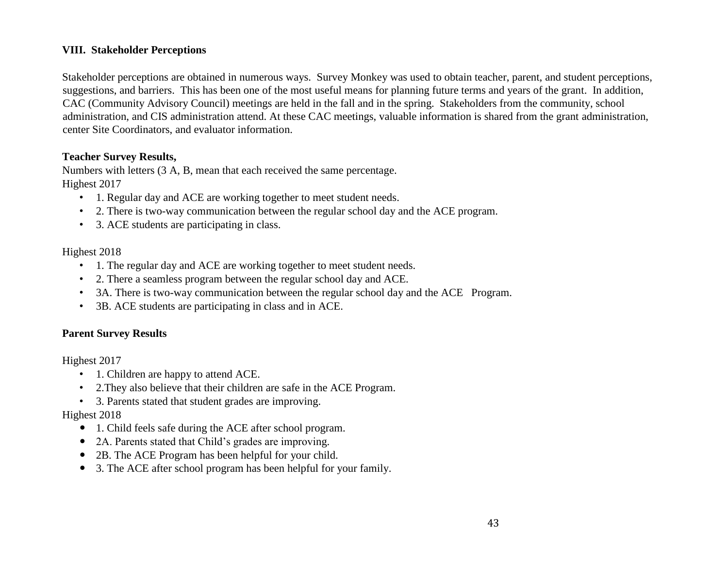### **VIII. Stakeholder Perceptions**

Stakeholder perceptions are obtained in numerous ways. Survey Monkey was used to obtain teacher, parent, and student perceptions, suggestions, and barriers. This has been one of the most useful means for planning future terms and years of the grant. In addition, CAC (Community Advisory Council) meetings are held in the fall and in the spring. Stakeholders from the community, school administration, and CIS administration attend. At these CAC meetings, valuable information is shared from the grant administration, center Site Coordinators, and evaluator information.

### **Teacher Survey Results,**

Numbers with letters (3 A, B, mean that each received the same percentage. Highest 2017

- 1. Regular day and ACE are working together to meet student needs.
- 2. There is two-way communication between the regular school day and the ACE program.
- 3. ACE students are participating in class.

### Highest 2018

- 1. The regular day and ACE are working together to meet student needs.
- 2. There a seamless program between the regular school day and ACE.
- 3A. There is two-way communication between the regular school day and the ACE Program.
- 3B. ACE students are participating in class and in ACE.

### **Parent Survey Results**

Highest 2017

- 1. Children are happy to attend ACE.
- 2.They also believe that their children are safe in the ACE Program.
- 3. Parents stated that student grades are improving.

### Highest 2018

- 1. Child feels safe during the ACE after school program.
- 2A. Parents stated that Child's grades are improving.
- 2B. The ACE Program has been helpful for your child.
- 3. The ACE after school program has been helpful for your family.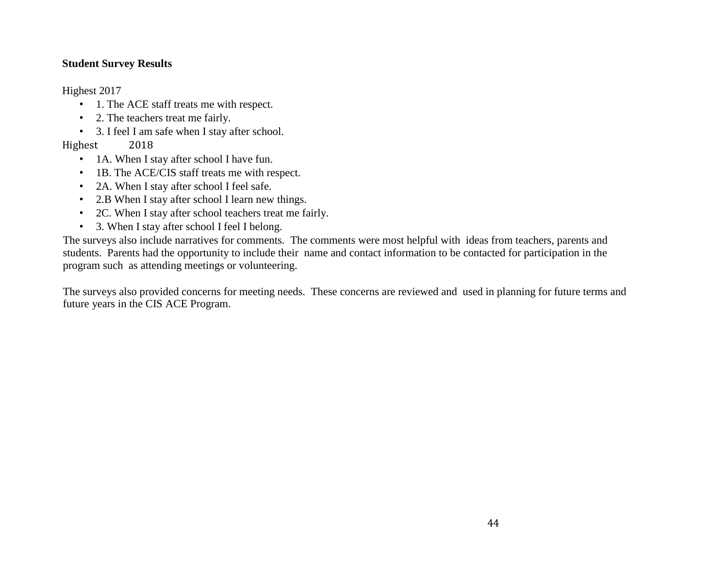### **Student Survey Results**

Highest 2017

- 1. The ACE staff treats me with respect.
- 2. The teachers treat me fairly.
- 3. I feel I am safe when I stay after school.

### Highest 2018

- 1A. When I stay after school I have fun.
- 1B. The ACE/CIS staff treats me with respect.
- 2A. When I stay after school I feel safe.
- 2.B When I stay after school I learn new things.
- 2C. When I stay after school teachers treat me fairly.
- 3. When I stay after school I feel I belong.

The surveys also include narratives for comments. The comments were most helpful with ideas from teachers, parents and students. Parents had the opportunity to include their name and contact information to be contacted for participation in the program such as attending meetings or volunteering.

The surveys also provided concerns for meeting needs. These concerns are reviewed and used in planning for future terms and future years in the CIS ACE Program.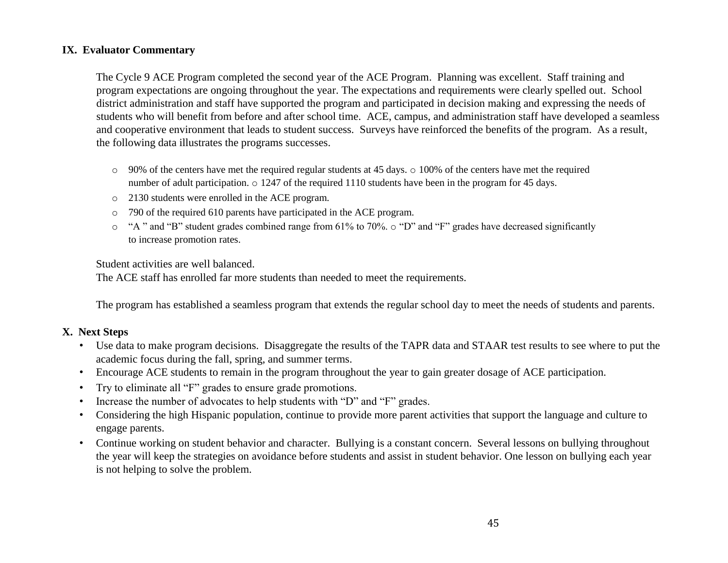### **IX. Evaluator Commentary**

The Cycle 9 ACE Program completed the second year of the ACE Program. Planning was excellent. Staff training and program expectations are ongoing throughout the year. The expectations and requirements were clearly spelled out. School district administration and staff have supported the program and participated in decision making and expressing the needs of students who will benefit from before and after school time. ACE, campus, and administration staff have developed a seamless and cooperative environment that leads to student success. Surveys have reinforced the benefits of the program. As a result, the following data illustrates the programs successes.

- $\circ$  90% of the centers have met the required regular students at 45 days.  $\circ$  100% of the centers have met the required number of adult participation.  $\circ$  1247 of the required 1110 students have been in the program for 45 days.
- o 2130 students were enrolled in the ACE program.
- o 790 of the required 610 parents have participated in the ACE program.
- o "A " and "B" student grades combined range from 61% to 70%. o "D" and "F" grades have decreased significantly to increase promotion rates.

Student activities are well balanced.

The ACE staff has enrolled far more students than needed to meet the requirements.

The program has established a seamless program that extends the regular school day to meet the needs of students and parents.

### **X. Next Steps**

- Use data to make program decisions. Disaggregate the results of the TAPR data and STAAR test results to see where to put the academic focus during the fall, spring, and summer terms.
- Encourage ACE students to remain in the program throughout the year to gain greater dosage of ACE participation.
- Try to eliminate all "F" grades to ensure grade promotions.
- Increase the number of advocates to help students with "D" and "F" grades.
- Considering the high Hispanic population, continue to provide more parent activities that support the language and culture to engage parents.
- Continue working on student behavior and character. Bullying is a constant concern. Several lessons on bullying throughout the year will keep the strategies on avoidance before students and assist in student behavior. One lesson on bullying each year is not helping to solve the problem.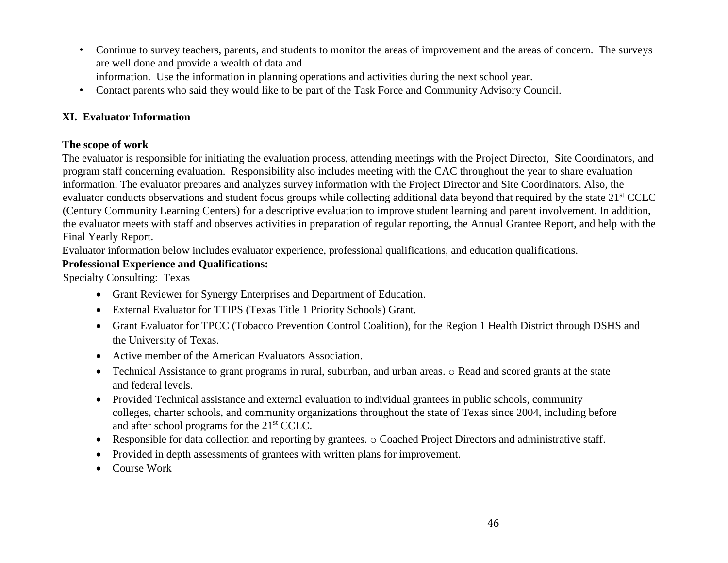- Continue to survey teachers, parents, and students to monitor the areas of improvement and the areas of concern. The surveys are well done and provide a wealth of data and information. Use the information in planning operations and activities during the next school year.
- 
- Contact parents who said they would like to be part of the Task Force and Community Advisory Council.

### **XI. Evaluator Information**

### **The scope of work**

The evaluator is responsible for initiating the evaluation process, attending meetings with the Project Director, Site Coordinators, and program staff concerning evaluation. Responsibility also includes meeting with the CAC throughout the year to share evaluation information. The evaluator prepares and analyzes survey information with the Project Director and Site Coordinators. Also, the evaluator conducts observations and student focus groups while collecting additional data beyond that required by the state 21st CCLC (Century Community Learning Centers) for a descriptive evaluation to improve student learning and parent involvement. In addition, the evaluator meets with staff and observes activities in preparation of regular reporting, the Annual Grantee Report, and help with the Final Yearly Report.

Evaluator information below includes evaluator experience, professional qualifications, and education qualifications.

### **Professional Experience and Qualifications:**

Specialty Consulting: Texas

- Grant Reviewer for Synergy Enterprises and Department of Education.
- External Evaluator for TTIPS (Texas Title 1 Priority Schools) Grant.
- Grant Evaluator for TPCC (Tobacco Prevention Control Coalition), for the Region 1 Health District through DSHS and the University of Texas.
- Active member of the American Evaluators Association.
- Technical Assistance to grant programs in rural, suburban, and urban areas. o Read and scored grants at the state and federal levels.
- Provided Technical assistance and external evaluation to individual grantees in public schools, community colleges, charter schools, and community organizations throughout the state of Texas since 2004, including before and after school programs for the 21st CCLC.
- Responsible for data collection and reporting by grantees. o Coached Project Directors and administrative staff.
- Provided in depth assessments of grantees with written plans for improvement.
- Course Work